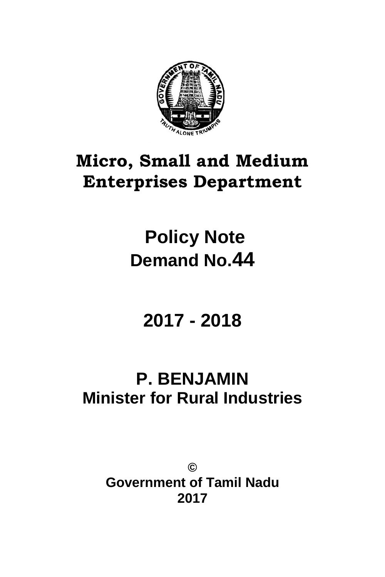

# **Micro, Small and Medium Enterprises Department**

# **Policy Note Demand No.44**

# **2017 - 2018**

## **P. BENJAMIN Minister for Rural Industries**

**© Government of Tamil Nadu 2017**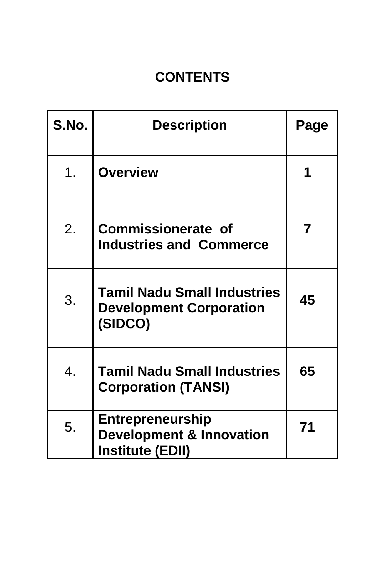## **CONTENTS**

| S.No.            | <b>Description</b>                                                                        | Page |
|------------------|-------------------------------------------------------------------------------------------|------|
| 1 <sub>1</sub>   | <b>Overview</b>                                                                           |      |
| 2.               | <b>Commissionerate of</b><br><b>Industries and Commerce</b>                               | 7    |
| 3.               | <b>Tamil Nadu Small Industries</b><br><b>Development Corporation</b><br>(SIDCO)           | 45   |
| $\overline{4}$ . | <b>Tamil Nadu Small Industries</b><br><b>Corporation (TANSI)</b>                          | 65   |
| 5.               | <b>Entrepreneurship</b><br><b>Development &amp; Innovation</b><br><b>Institute (EDII)</b> | 71   |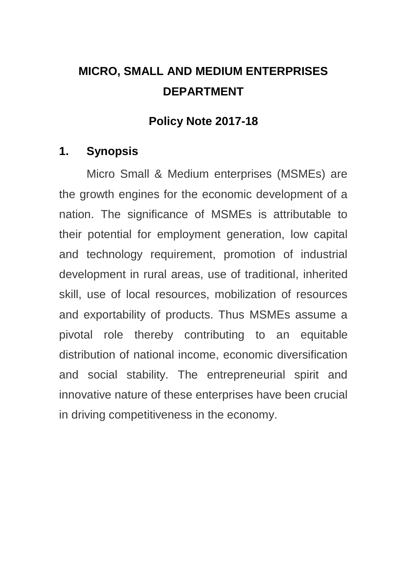## **MICRO, SMALL AND MEDIUM ENTERPRISES DEPARTMENT**

## **Policy Note 2017-18**

## **1. Synopsis**

Micro Small & Medium enterprises (MSMEs) are the growth engines for the economic development of a nation. The significance of MSMEs is attributable to their potential for employment generation, low capital and technology requirement, promotion of industrial development in rural areas, use of traditional, inherited skill, use of local resources, mobilization of resources and exportability of products. Thus MSMEs assume a pivotal role thereby contributing to an equitable distribution of national income, economic diversification and social stability. The entrepreneurial spirit and innovative nature of these enterprises have been crucial in driving competitiveness in the economy.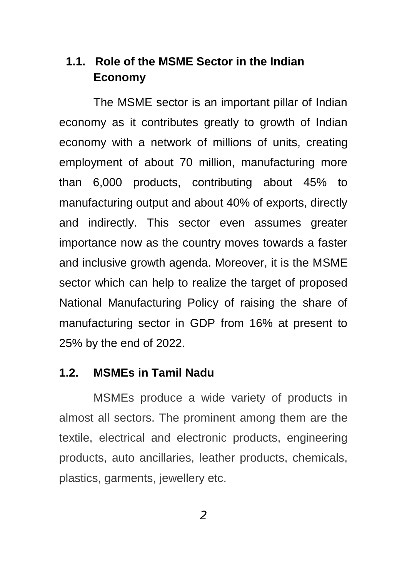## **1.1. Role of the MSME Sector in the Indian Economy**

The MSME sector is an important pillar of Indian economy as it contributes greatly to growth of Indian economy with a network of millions of units, creating employment of about 70 million, manufacturing more than 6,000 products, contributing about 45% to manufacturing output and about 40% of exports, directly and indirectly. This sector even assumes greater importance now as the country moves towards a faster and inclusive growth agenda. Moreover, it is the MSME sector which can help to realize the target of proposed National Manufacturing Policy of raising the share of manufacturing sector in GDP from 16% at present to 25% by the end of 2022.

#### **1.2. MSMEs in Tamil Nadu**

MSMEs produce a wide variety of products in almost all sectors. The prominent among them are the textile, electrical and electronic products, engineering products, auto ancillaries, leather products, chemicals, plastics, garments, jewellery etc.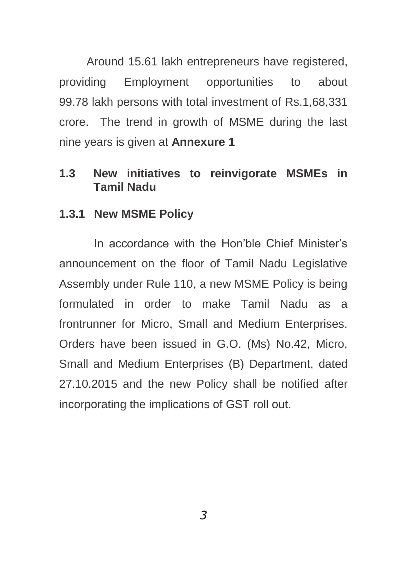Around 15.61 lakh entrepreneurs have registered, providing Employment opportunities to about 99.78 lakh persons with total investment of Rs.1,68,331 crore. The trend in growth of MSME during the last nine years is given at **Annexure 1**

#### **1.3 New initiatives to reinvigorate MSMEs in Tamil Nadu**

#### **1.3.1 New MSME Policy**

In accordance with the Hon"ble Chief Minister"s announcement on the floor of Tamil Nadu Legislative Assembly under Rule 110, a new MSME Policy is being formulated in order to make Tamil Nadu as a frontrunner for Micro, Small and Medium Enterprises. Orders have been issued in G.O. (Ms) No.42, Micro, Small and Medium Enterprises (B) Department, dated 27.10.2015 and the new Policy shall be notified after incorporating the implications of GST roll out.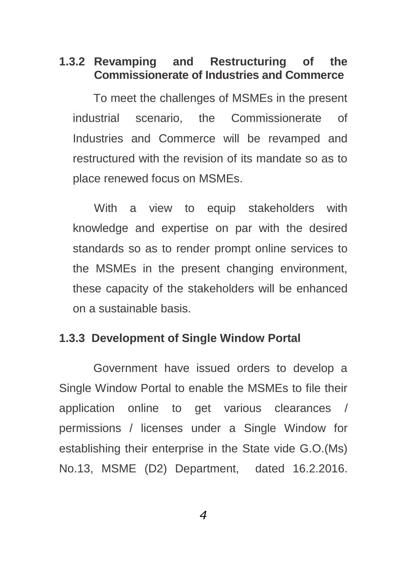## **1.3.2 Revamping and Restructuring of the Commissionerate of Industries and Commerce**

To meet the challenges of MSMEs in the present industrial scenario, the Commissionerate of Industries and Commerce will be revamped and restructured with the revision of its mandate so as to place renewed focus on MSMEs.

With a view to equip stakeholders with knowledge and expertise on par with the desired standards so as to render prompt online services to the MSMEs in the present changing environment, these capacity of the stakeholders will be enhanced on a sustainable basis.

#### **1.3.3 Development of Single Window Portal**

Government have issued orders to develop a Single Window Portal to enable the MSMEs to file their application online to get various clearances / permissions / licenses under a Single Window for establishing their enterprise in the State vide G.O.(Ms) No.13, MSME (D2) Department, dated 16.2.2016.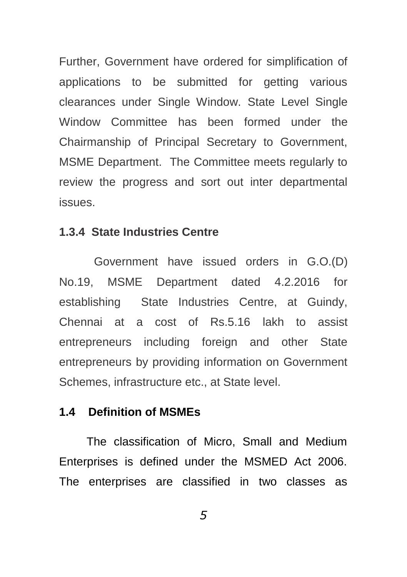Further, Government have ordered for simplification of applications to be submitted for getting various clearances under Single Window. State Level Single Window Committee has been formed under the Chairmanship of Principal Secretary to Government, MSME Department. The Committee meets regularly to review the progress and sort out inter departmental issues.

#### **1.3.4 State Industries Centre**

Government have issued orders in G.O.(D) No.19, MSME Department dated 4.2.2016 for establishing State Industries Centre, at Guindy, Chennai at a cost of Rs.5.16 lakh to assist entrepreneurs including foreign and other State entrepreneurs by providing information on Government Schemes, infrastructure etc., at State level.

#### **1.4 Definition of MSMEs**

The classification of Micro, Small and Medium Enterprises is defined under the MSMED Act 2006. The enterprises are classified in two classes as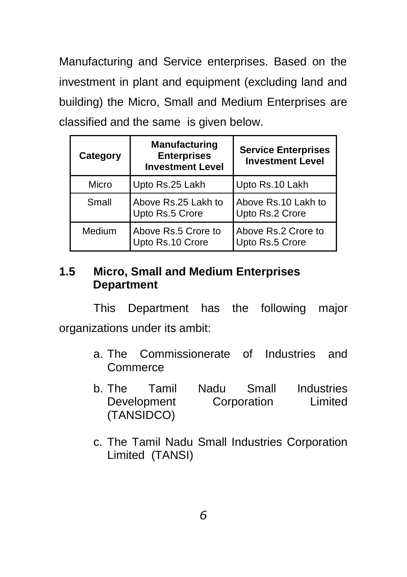Manufacturing and Service enterprises. Based on the investment in plant and equipment (excluding land and building) the Micro, Small and Medium Enterprises are classified and the same is given below.

| Category | <b>Manufacturing</b><br><b>Enterprises</b><br><b>Investment Level</b> | <b>Service Enterprises</b><br><b>Investment Level</b> |  |
|----------|-----------------------------------------------------------------------|-------------------------------------------------------|--|
| Micro    | Upto Rs.25 Lakh                                                       | Upto Rs.10 Lakh                                       |  |
| Small    | Above Rs.25 Lakh to<br>Upto Rs.5 Crore                                | Above Rs.10 Lakh to<br>Upto Rs.2 Crore                |  |
| Medium   | Above Rs.5 Crore to<br>Upto Rs.10 Crore                               | Above Rs.2 Crore to<br>Upto Rs.5 Crore                |  |

### **1.5 Micro, Small and Medium Enterprises Department**

This Department has the following major organizations under its ambit:

- a. The Commissionerate of Industries and **Commerce**
- b. The Tamil Nadu Small Industries Development Corporation Limited (TANSIDCO)
- c. The Tamil Nadu Small Industries Corporation Limited (TANSI)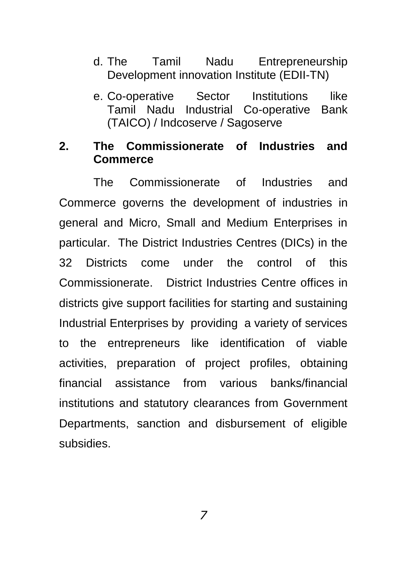- d. The Tamil Nadu Entrepreneurship Development innovation Institute (EDII-TN)
- e. Co-operative Sector Institutions like Tamil Nadu Industrial Co-operative Bank (TAICO) / Indcoserve / Sagoserve

#### **2. The Commissionerate of Industries and Commerce**

The Commissionerate of Industries and Commerce governs the development of industries in general and Micro, Small and Medium Enterprises in particular. The District Industries Centres (DICs) in the 32 Districts come under the control of this Commissionerate. District Industries Centre offices in districts give support facilities for starting and sustaining Industrial Enterprises by providing a variety of services to the entrepreneurs like identification of viable activities, preparation of project profiles, obtaining financial assistance from various banks/financial institutions and statutory clearances from Government Departments, sanction and disbursement of eligible subsidies.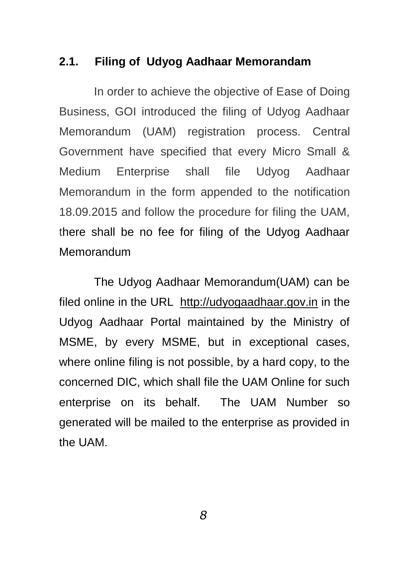#### **2.1. Filing of Udyog Aadhaar Memorandam**

In order to achieve the objective of Ease of Doing Business, GOI introduced the filing of Udyog Aadhaar Memorandum (UAM) registration process. Central Government have specified that every Micro Small & Medium Enterprise shall file Udyog Aadhaar Memorandum in the form appended to the notification 18.09.2015 and follow the procedure for filing the UAM, there shall be no fee for filing of the Udyog Aadhaar Memorandum

The Udyog Aadhaar Memorandum(UAM) can be filed online in the URL [http://udyogaadhaar.gov.in](http://udyogaadhaar.gov.in/) in the Udyog Aadhaar Portal maintained by the Ministry of MSME, by every MSME, but in exceptional cases, where online filing is not possible, by a hard copy, to the concerned DIC, which shall file the UAM Online for such enterprise on its behalf. The UAM Number so generated will be mailed to the enterprise as provided in the UAM.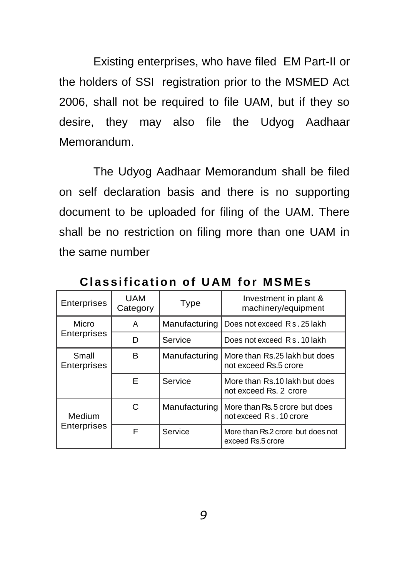Existing enterprises, who have filed EM Part-II or the holders of SSI registration prior to the MSMED Act 2006, shall not be required to file UAM, but if they so desire, they may also file the Udyog Aadhaar Memorandum.

The Udyog Aadhaar Memorandum shall be filed on self declaration basis and there is no supporting document to be uploaded for filing of the UAM. There shall be no restriction on filing more than one UAM in the same number

| Enterprises          | <b>UAM</b><br>Category | <b>Type</b>   | Investment in plant &<br>machinery/equipment              |  |
|----------------------|------------------------|---------------|-----------------------------------------------------------|--|
| Micro                | A                      | Manufacturing | Does not exceed R s . 25 lakh                             |  |
| Enterprises          | D                      | Service       | Does not exceed Rs. 10 lakh                               |  |
| Small<br>Enterprises | в                      | Manufacturing | More than Rs.25 lakh but does<br>not exceed Rs.5 crore    |  |
|                      | F                      | Service       | More than Rs.10 lakh but does<br>not exceed Rs. 2 crore   |  |
| Medium               | С                      | Manufacturing | More than Rs. 5 crore but does<br>not exceed Rs. 10 crore |  |
| <b>Enterprises</b>   | F                      | Service       | More than Rs.2 crore but does not<br>exceed Rs.5 crore    |  |

**Cl as si fica ti on of U AM for MS ME s**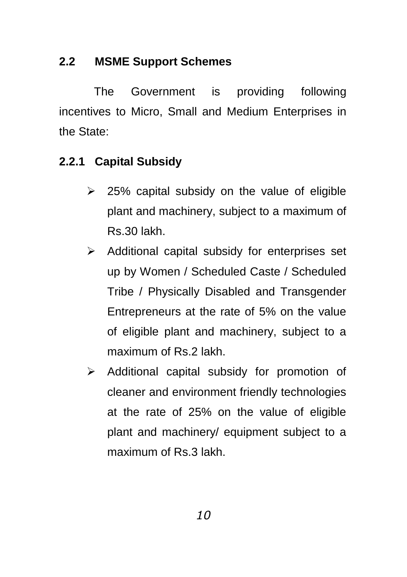## **2.2 MSME Support Schemes**

The Government is providing following incentives to Micro, Small and Medium Enterprises in the State:

## **2.2.1 Capital Subsidy**

- $\geq$  25% capital subsidy on the value of eligible plant and machinery, subject to a maximum of Rs.30 lakh.
- $\triangleright$  Additional capital subsidy for enterprises set up by Women / Scheduled Caste / Scheduled Tribe / Physically Disabled and Transgender Entrepreneurs at the rate of 5% on the value of eligible plant and machinery, subject to a maximum of Rs.2 lakh.
- $\triangleright$  Additional capital subsidy for promotion of cleaner and environment friendly technologies at the rate of 25% on the value of eligible plant and machinery/ equipment subject to a maximum of Rs.3 lakh.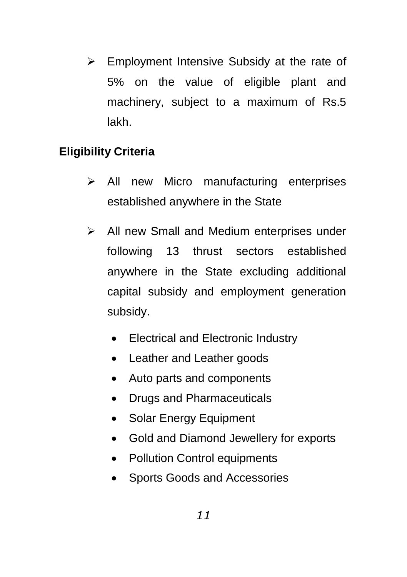$\triangleright$  Employment Intensive Subsidy at the rate of 5% on the value of eligible plant and machinery, subject to a maximum of Rs.5 lakh.

## **Eligibility Criteria**

- $\triangleright$  All new Micro manufacturing enterprises established anywhere in the State
- $\triangleright$  All new Small and Medium enterprises under following 13 thrust sectors established anywhere in the State excluding additional capital subsidy and employment generation subsidy.
	- Electrical and Electronic Industry
	- Leather and Leather goods
	- Auto parts and components
	- Drugs and Pharmaceuticals
	- Solar Energy Equipment
	- Gold and Diamond Jewellery for exports
	- Pollution Control equipments
	- Sports Goods and Accessories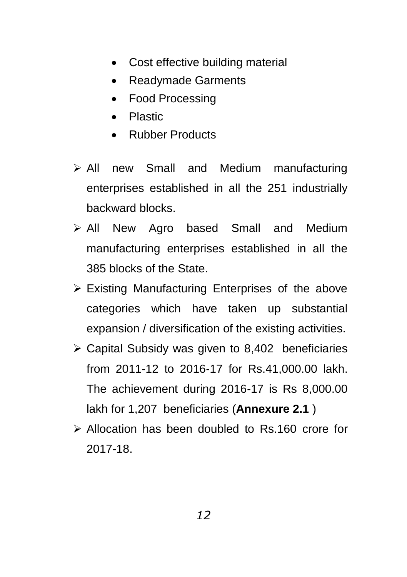- Cost effective building material
- Readymade Garments
- Food Processing
- Plastic
- Rubber Products
- All new Small and Medium manufacturing enterprises established in all the 251 industrially backward blocks.
- > All New Agro based Small and Medium manufacturing enterprises established in all the 385 blocks of the State.
- $\triangleright$  Existing Manufacturing Enterprises of the above categories which have taken up substantial expansion / diversification of the existing activities.
- $\geq$  Capital Subsidy was given to 8,402 beneficiaries from 2011-12 to 2016-17 for Rs.41,000.00 lakh. The achievement during 2016-17 is Rs 8,000.00 lakh for 1,207 beneficiaries (**Annexure 2.1** )
- Allocation has been doubled to Rs.160 crore for 2017-18.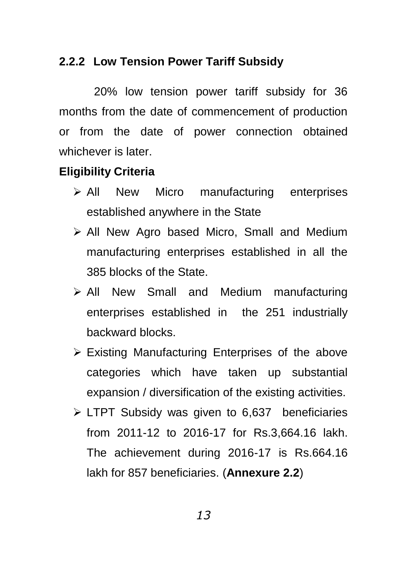## **2.2.2 Low Tension Power Tariff Subsidy**

20% low tension power tariff subsidy for 36 months from the date of commencement of production or from the date of power connection obtained whichever is later.

### **Eligibility Criteria**

- $\triangleright$  All New Micro manufacturing enterprises established anywhere in the State
- $\triangleright$  All New Agro based Micro, Small and Medium manufacturing enterprises established in all the 385 blocks of the State.
- All New Small and Medium manufacturing enterprises established in the 251 industrially backward blocks.
- $\triangleright$  Existing Manufacturing Enterprises of the above categories which have taken up substantial expansion / diversification of the existing activities.
- $\triangleright$  LTPT Subsidy was given to 6,637 beneficiaries from 2011-12 to 2016-17 for Rs.3,664.16 lakh. The achievement during 2016-17 is Rs.664.16 lakh for 857 beneficiaries. (**Annexure 2.2**)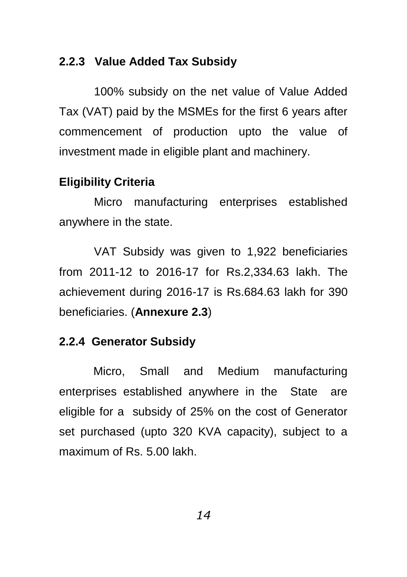### **2.2.3 Value Added Tax Subsidy**

100% subsidy on the net value of Value Added Tax (VAT) paid by the MSMEs for the first 6 years after commencement of production upto the value of investment made in eligible plant and machinery.

#### **Eligibility Criteria**

Micro manufacturing enterprises established anywhere in the state.

VAT Subsidy was given to 1,922 beneficiaries from 2011-12 to 2016-17 for Rs.2,334.63 lakh. The achievement during 2016-17 is Rs.684.63 lakh for 390 beneficiaries. (**Annexure 2.3**)

#### **2.2.4 Generator Subsidy**

Micro, Small and Medium manufacturing enterprises established anywhere in the State are eligible for a subsidy of 25% on the cost of Generator set purchased (upto 320 KVA capacity), subject to a maximum of Rs. 5.00 lakh.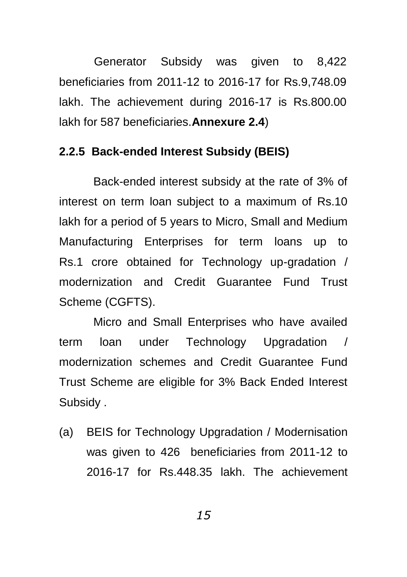Generator Subsidy was given to 8,422 beneficiaries from 2011-12 to 2016-17 for Rs.9,748.09 lakh. The achievement during 2016-17 is Rs.800.00 lakh for 587 beneficiaries.**Annexure 2.4**)

#### **2.2.5 Back-ended Interest Subsidy (BEIS)**

Back-ended interest subsidy at the rate of 3% of interest on term loan subject to a maximum of Rs.10 lakh for a period of 5 years to Micro, Small and Medium Manufacturing Enterprises for term loans up to Rs.1 crore obtained for Technology up-gradation / modernization and Credit Guarantee Fund Trust Scheme (CGFTS).

Micro and Small Enterprises who have availed term loan under Technology Upgradation / modernization schemes and Credit Guarantee Fund Trust Scheme are eligible for 3% Back Ended Interest Subsidy .

(a) BEIS for Technology Upgradation / Modernisation was given to 426 beneficiaries from 2011-12 to 2016-17 for Rs.448.35 lakh. The achievement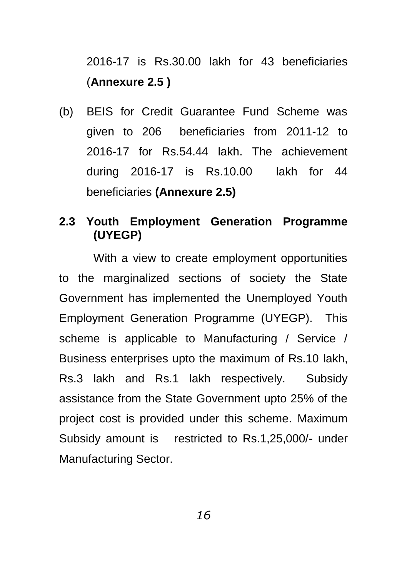2016-17 is Rs.30.00 lakh for 43 beneficiaries (**Annexure 2.5 )**

(b) BEIS for Credit Guarantee Fund Scheme was given to 206 beneficiaries from 2011-12 to 2016-17 for Rs.54.44 lakh. The achievement during 2016-17 is Rs.10.00 lakh for 44 beneficiaries **(Annexure 2.5)**

## **2.3 Youth Employment Generation Programme (UYEGP)**

With a view to create employment opportunities to the marginalized sections of society the State Government has implemented the Unemployed Youth Employment Generation Programme (UYEGP). This scheme is applicable to Manufacturing / Service / Business enterprises upto the maximum of Rs.10 lakh, Rs.3 lakh and Rs.1 lakh respectively. Subsidy assistance from the State Government upto 25% of the project cost is provided under this scheme. Maximum Subsidy amount is restricted to Rs.1,25,000/- under Manufacturing Sector.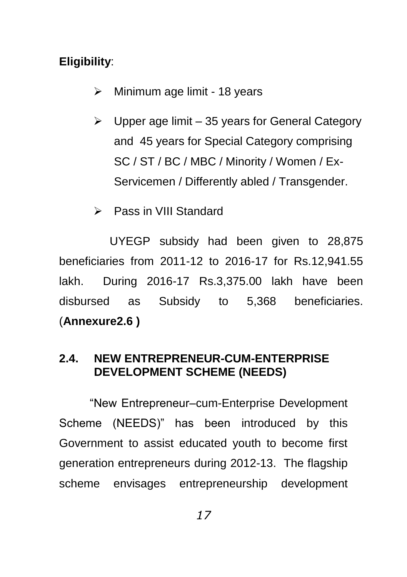## **Eligibility**:

- $\triangleright$  Minimum age limit 18 years
- $\triangleright$  Upper age limit 35 years for General Category and 45 years for Special Category comprising SC / ST / BC / MBC / Minority / Women / Ex-Servicemen / Differently abled / Transgender.
- Pass in VIII Standard

 UYEGP subsidy had been given to 28,875 beneficiaries from 2011-12 to 2016-17 for Rs.12,941.55 lakh. During 2016-17 Rs.3,375.00 lakh have been disbursed as Subsidy to 5,368 beneficiaries. (**Annexure2.6 )**

## **2.4. NEW ENTREPRENEUR-CUM-ENTERPRISE DEVELOPMENT SCHEME (NEEDS)**

"New Entrepreneur–cum-Enterprise Development Scheme (NEEDS)" has been introduced by this Government to assist educated youth to become first generation entrepreneurs during 2012-13. The flagship scheme envisages entrepreneurship development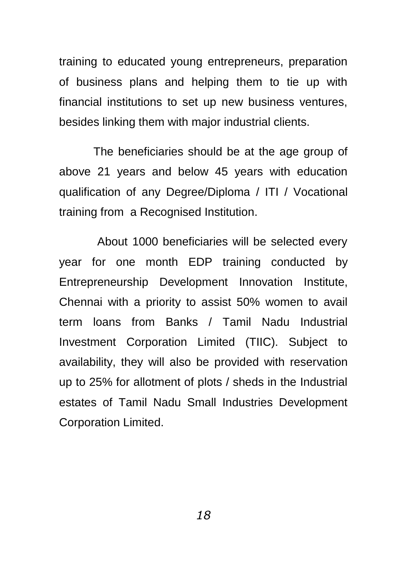training to educated young entrepreneurs, preparation of business plans and helping them to tie up with financial institutions to set up new business ventures, besides linking them with major industrial clients.

The beneficiaries should be at the age group of above 21 years and below 45 years with education qualification of any Degree/Diploma / ITI / Vocational training from a Recognised Institution.

About 1000 beneficiaries will be selected every year for one month EDP training conducted by Entrepreneurship Development Innovation Institute, Chennai with a priority to assist 50% women to avail term loans from Banks / Tamil Nadu Industrial Investment Corporation Limited (TIIC). Subject to availability, they will also be provided with reservation up to 25% for allotment of plots / sheds in the Industrial estates of Tamil Nadu Small Industries Development Corporation Limited.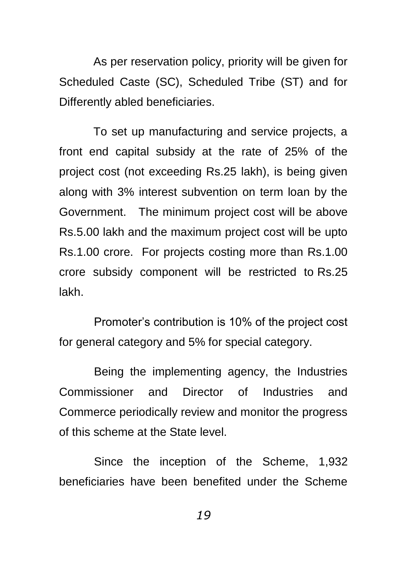As per reservation policy, priority will be given for Scheduled Caste (SC), Scheduled Tribe (ST) and for Differently abled beneficiaries.

To set up manufacturing and service projects, a front end capital subsidy at the rate of 25% of the project cost (not exceeding Rs.25 lakh), is being given along with 3% interest subvention on term loan by the Government. The minimum project cost will be above Rs.5.00 lakh and the maximum project cost will be upto Rs.1.00 crore. For projects costing more than Rs.1.00 crore subsidy component will be restricted to Rs.25 lakh.

Promoter"s contribution is 10% of the project cost for general category and 5% for special category.

Being the implementing agency, the Industries Commissioner and Director of Industries and Commerce periodically review and monitor the progress of this scheme at the State level.

Since the inception of the Scheme, 1,932 beneficiaries have been benefited under the Scheme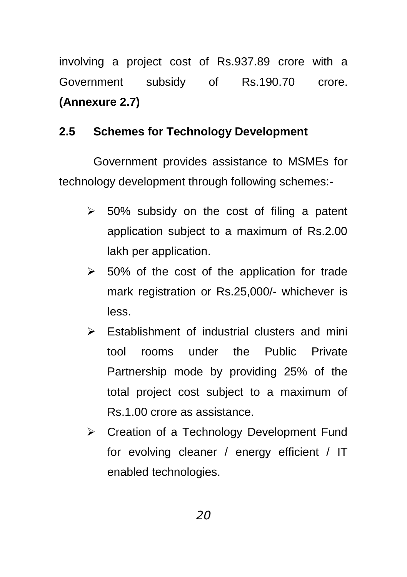involving a project cost of Rs.937.89 crore with a Government subsidy of Rs.190.70 crore. **(Annexure 2.7)**

## **2.5 Schemes for Technology Development**

Government provides assistance to MSMEs for technology development through following schemes:-

- $\geq$  50% subsidy on the cost of filing a patent application subject to a maximum of Rs.2.00 lakh per application.
- $\geq$  50% of the cost of the application for trade mark registration or Rs.25,000/- whichever is less.
- $\triangleright$  Establishment of industrial clusters and mini tool rooms under the Public Private Partnership mode by providing 25% of the total project cost subject to a maximum of Rs.1.00 crore as assistance.
- **▶ Creation of a Technology Development Fund** for evolving cleaner / energy efficient / IT enabled technologies.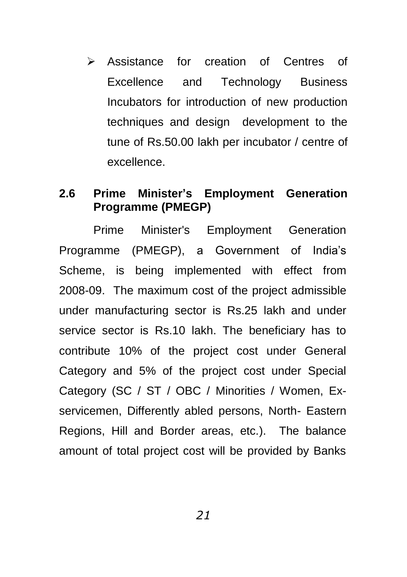Assistance for creation of Centres of Excellence and Technology Business Incubators for introduction of new production techniques and design development to the tune of Rs.50.00 lakh per incubator / centre of excellence.

#### **2.6 Prime Minister's Employment Generation Programme (PMEGP)**

Prime Minister's Employment Generation Programme (PMEGP), a Government of India"s Scheme, is being implemented with effect from 2008-09. The maximum cost of the project admissible under manufacturing sector is Rs.25 lakh and under service sector is Rs.10 lakh. The beneficiary has to contribute 10% of the project cost under General Category and 5% of the project cost under Special Category (SC / ST / OBC / Minorities / Women, Exservicemen, Differently abled persons, North- Eastern Regions, Hill and Border areas, etc.). The balance amount of total project cost will be provided by Banks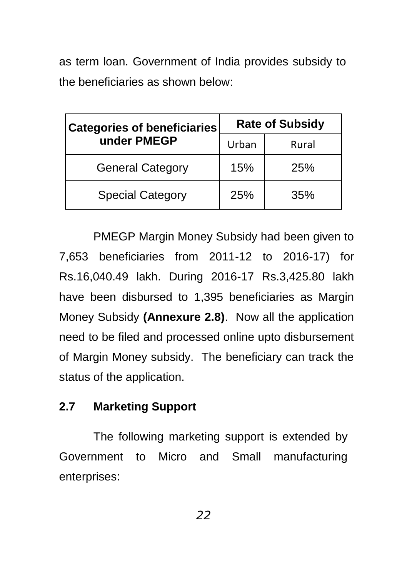as term loan. Government of India provides subsidy to the beneficiaries as shown below:

| <b>Categories of beneficiaries</b> | <b>Rate of Subsidy</b> |            |
|------------------------------------|------------------------|------------|
| under PMEGP                        | Urban                  | Rural      |
| <b>General Category</b>            | 15%                    | <b>25%</b> |
| <b>Special Category</b>            | 25%                    | 35%        |

PMEGP Margin Money Subsidy had been given to 7,653 beneficiaries from 2011-12 to 2016-17) for Rs.16,040.49 lakh. During 2016-17 Rs.3,425.80 lakh have been disbursed to 1,395 beneficiaries as Margin Money Subsidy **(Annexure 2.8)**. Now all the application need to be filed and processed online upto disbursement of Margin Money subsidy. The beneficiary can track the status of the application.

#### **2.7 Marketing Support**

The following marketing support is extended by Government to Micro and Small manufacturing enterprises: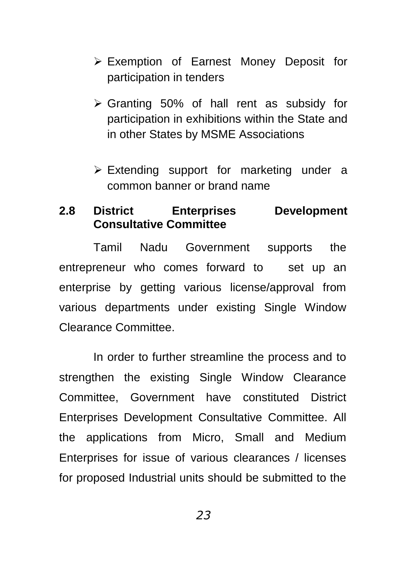- Exemption of Earnest Money Deposit for participation in tenders
- $\triangleright$  Granting 50% of hall rent as subsidy for participation in exhibitions within the State and in other States by MSME Associations
- $\triangleright$  Extending support for marketing under a common banner or brand name

#### **2.8 District Enterprises Development Consultative Committee**

Tamil Nadu Government supports the entrepreneur who comes forward to set up an enterprise by getting various license/approval from various departments under existing Single Window Clearance Committee.

In order to further streamline the process and to strengthen the existing Single Window Clearance Committee, Government have constituted District Enterprises Development Consultative Committee. All the applications from Micro, Small and Medium Enterprises for issue of various clearances / licenses for proposed Industrial units should be submitted to the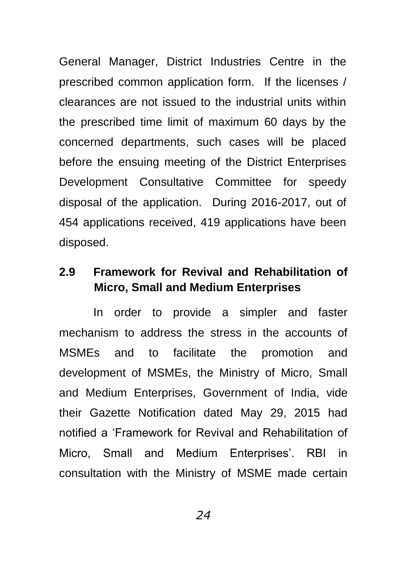General Manager, District Industries Centre in the prescribed common application form. If the licenses / clearances are not issued to the industrial units within the prescribed time limit of maximum 60 days by the concerned departments, such cases will be placed before the ensuing meeting of the District Enterprises Development Consultative Committee for speedy disposal of the application. During 2016-2017, out of 454 applications received, 419 applications have been disposed.

## **2.9 Framework for Revival and Rehabilitation of Micro, Small and Medium Enterprises**

In order to provide a simpler and faster mechanism to address the stress in the accounts of MSMEs and to facilitate the promotion and development of MSMEs, the Ministry of Micro, Small and Medium Enterprises, Government of India, vide their Gazette Notification dated May 29, 2015 had notified a "Framework for Revival and Rehabilitation of Micro, Small and Medium Enterprises'. RBI in consultation with the Ministry of MSME made certain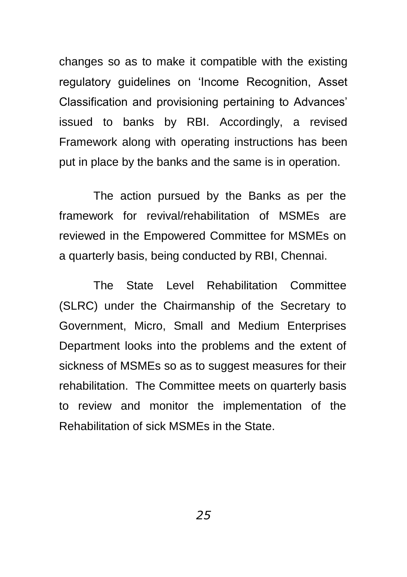changes so as to make it compatible with the existing regulatory guidelines on "Income Recognition, Asset Classification and provisioning pertaining to Advances" issued to banks by RBI. Accordingly, a revised Framework along with operating instructions has been put in place by the banks and the same is in operation.

The action pursued by the Banks as per the framework for revival/rehabilitation of MSMEs are reviewed in the Empowered Committee for MSMEs on a quarterly basis, being conducted by RBI, Chennai.

The State Level Rehabilitation Committee (SLRC) under the Chairmanship of the Secretary to Government, Micro, Small and Medium Enterprises Department looks into the problems and the extent of sickness of MSMEs so as to suggest measures for their rehabilitation. The Committee meets on quarterly basis to review and monitor the implementation of the Rehabilitation of sick MSMEs in the State.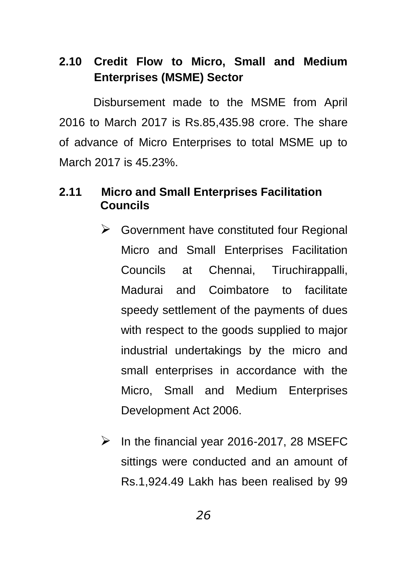## **2.10 Credit Flow to Micro, Small and Medium Enterprises (MSME) Sector**

Disbursement made to the MSME from April 2016 to March 2017 is Rs.85,435.98 crore. The share of advance of Micro Enterprises to total MSME up to March 2017 is 45.23%.

## **2.11 Micro and Small Enterprises Facilitation Councils**

- $\triangleright$  Government have constituted four Regional Micro and Small Enterprises Facilitation Councils at Chennai, Tiruchirappalli, Madurai and Coimbatore to facilitate speedy settlement of the payments of dues with respect to the goods supplied to major industrial undertakings by the micro and small enterprises in accordance with the Micro, Small and Medium Enterprises Development Act 2006.
- $\triangleright$  In the financial year 2016-2017, 28 MSEFC sittings were conducted and an amount of Rs.1,924.49 Lakh has been realised by 99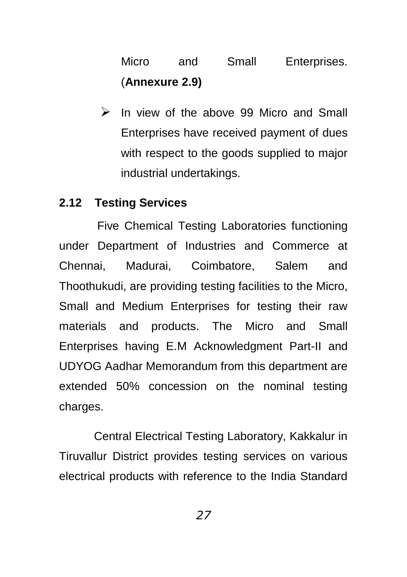## Micro and Small Enterprises. (**Annexure 2.9)**

 $\triangleright$  In view of the above 99 Micro and Small Enterprises have received payment of dues with respect to the goods supplied to major industrial undertakings.

#### **2.12 Testing Services**

Five Chemical Testing Laboratories functioning under Department of Industries and Commerce at Chennai, Madurai, Coimbatore, Salem and Thoothukudi, are providing testing facilities to the Micro, Small and Medium Enterprises for testing their raw materials and products. The Micro and Small Enterprises having E.M Acknowledgment Part-II and UDYOG Aadhar Memorandum from this department are extended 50% concession on the nominal testing charges.

Central Electrical Testing Laboratory, Kakkalur in Tiruvallur District provides testing services on various electrical products with reference to the India Standard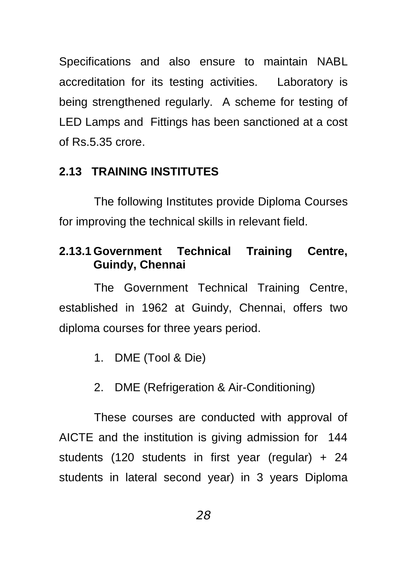Specifications and also ensure to maintain NABL accreditation for its testing activities. Laboratory is being strengthened regularly. A scheme for testing of LED Lamps and Fittings has been sanctioned at a cost of Rs.5.35 crore.

#### **2.13 TRAINING INSTITUTES**

The following Institutes provide Diploma Courses for improving the technical skills in relevant field.

## **2.13.1 Government Technical Training Centre, Guindy, Chennai**

The Government Technical Training Centre, established in 1962 at Guindy, Chennai, offers two diploma courses for three years period.

- 1. DME (Tool & Die)
- 2. DME (Refrigeration & Air-Conditioning)

These courses are conducted with approval of AICTE and the institution is giving admission for 144 students (120 students in first year (regular) + 24 students in lateral second year) in 3 years Diploma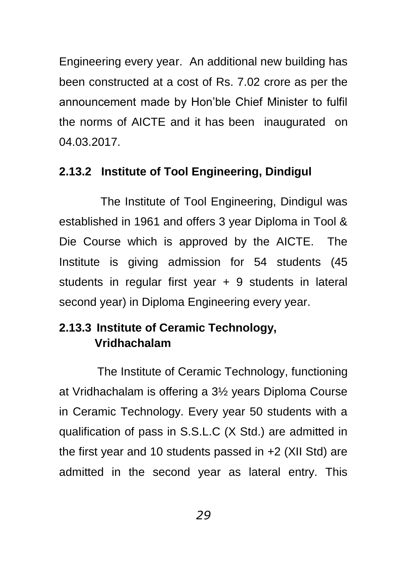Engineering every year. An additional new building has been constructed at a cost of Rs. 7.02 crore as per the announcement made by Hon"ble Chief Minister to fulfil the norms of AICTE and it has been inaugurated on 04.03.2017.

### **2.13.2 Institute of Tool Engineering, Dindigul**

 The Institute of Tool Engineering, Dindigul was established in 1961 and offers 3 year Diploma in Tool & Die Course which is approved by the AICTE. The Institute is giving admission for 54 students (45 students in regular first year + 9 students in lateral second year) in Diploma Engineering every year.

## **2.13.3 Institute of Ceramic Technology, Vridhachalam**

The Institute of Ceramic Technology, functioning at Vridhachalam is offering a 3½ years Diploma Course in Ceramic Technology. Every year 50 students with a qualification of pass in S.S.L.C (X Std.) are admitted in the first year and 10 students passed in +2 (XII Std) are admitted in the second year as lateral entry. This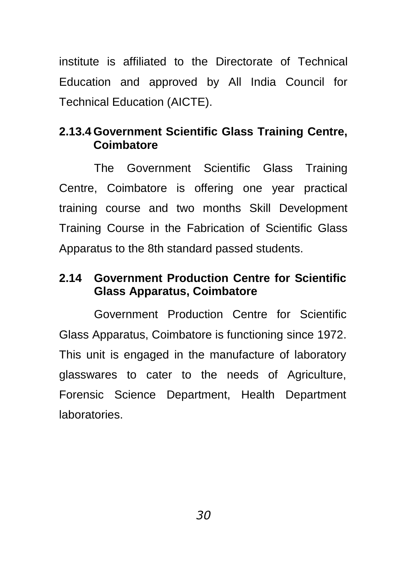institute is affiliated to the Directorate of Technical Education and approved by All India Council for Technical Education (AICTE).

## **2.13.4 Government Scientific Glass Training Centre, Coimbatore**

The Government Scientific Glass Training Centre, Coimbatore is offering one year practical training course and two months Skill Development Training Course in the Fabrication of Scientific Glass Apparatus to the 8th standard passed students.

## **2.14 Government Production Centre for Scientific Glass Apparatus, Coimbatore**

Government Production Centre for Scientific Glass Apparatus, Coimbatore is functioning since 1972. This unit is engaged in the manufacture of laboratory glasswares to cater to the needs of Agriculture, Forensic Science Department, Health Department laboratories.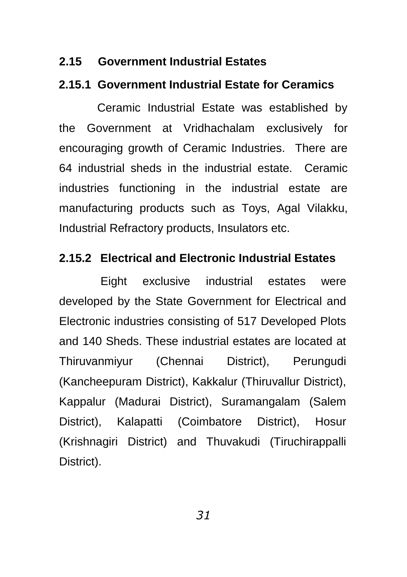#### **2.15 Government Industrial Estates**

#### **2.15.1 Government Industrial Estate for Ceramics**

Ceramic Industrial Estate was established by the Government at Vridhachalam exclusively for encouraging growth of Ceramic Industries. There are 64 industrial sheds in the industrial estate. Ceramic industries functioning in the industrial estate are manufacturing products such as Toys, Agal Vilakku, Industrial Refractory products, Insulators etc.

#### **2.15.2 Electrical and Electronic Industrial Estates**

 Eight exclusive industrial estates were developed by the State Government for Electrical and Electronic industries consisting of 517 Developed Plots and 140 Sheds. These industrial estates are located at Thiruvanmiyur (Chennai District), Perungudi (Kancheepuram District), Kakkalur (Thiruvallur District), Kappalur (Madurai District), Suramangalam (Salem District), Kalapatti (Coimbatore District), Hosur (Krishnagiri District) and Thuvakudi (Tiruchirappalli District).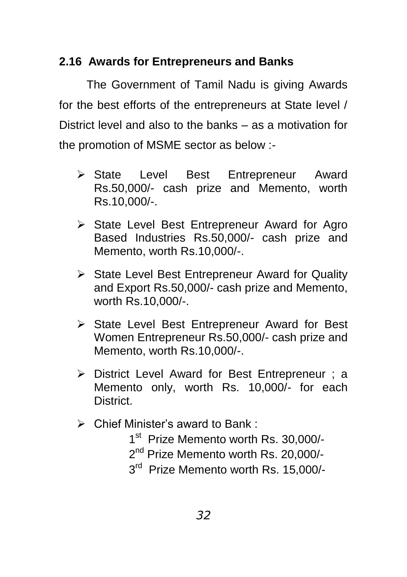## **2.16 Awards for Entrepreneurs and Banks**

The Government of Tamil Nadu is giving Awards for the best efforts of the entrepreneurs at State level / District level and also to the banks – as a motivation for the promotion of MSME sector as below :-

- State Level Best Entrepreneur Award Rs.50,000/- cash prize and Memento, worth Rs.10,000/-.
- $\triangleright$  State Level Best Entrepreneur Award for Agro Based Industries Rs.50,000/- cash prize and Memento, worth Rs.10,000/-.
- $\triangleright$  State Level Best Entrepreneur Award for Quality and Export Rs.50,000/- cash prize and Memento, worth Rs.10,000/-.
- $\triangleright$  State Level Best Entrepreneur Award for Best Women Entrepreneur Rs.50,000/- cash prize and Memento, worth Rs.10,000/-.
- District Level Award for Best Entrepreneur ; a Memento only, worth Rs. 10,000/- for each District.
- $\triangleright$  Chief Minister's award to Bank:
	- 1<sup>st</sup> Prize Memento worth Rs. 30,000/-
	- 2<sup>nd</sup> Prize Memento worth Rs. 20,000/-
	- 3<sup>rd</sup> Prize Memento worth Rs. 15,000/-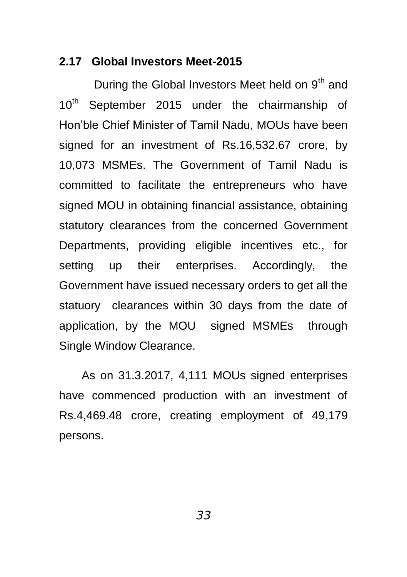#### **2.17 Global Investors Meet-2015**

During the Global Investors Meet held on  $9<sup>th</sup>$  and 10<sup>th</sup> September 2015 under the chairmanship of Hon"ble Chief Minister of Tamil Nadu, MOUs have been signed for an investment of Rs.16,532.67 crore, by 10,073 MSMEs. The Government of Tamil Nadu is committed to facilitate the entrepreneurs who have signed MOU in obtaining financial assistance, obtaining statutory clearances from the concerned Government Departments, providing eligible incentives etc., for setting up their enterprises. Accordingly, the Government have issued necessary orders to get all the statuory clearances within 30 days from the date of application, by the MOU signed MSMEs through Single Window Clearance.

As on 31.3.2017, 4,111 MOUs signed enterprises have commenced production with an investment of Rs.4,469.48 crore, creating employment of 49,179 persons.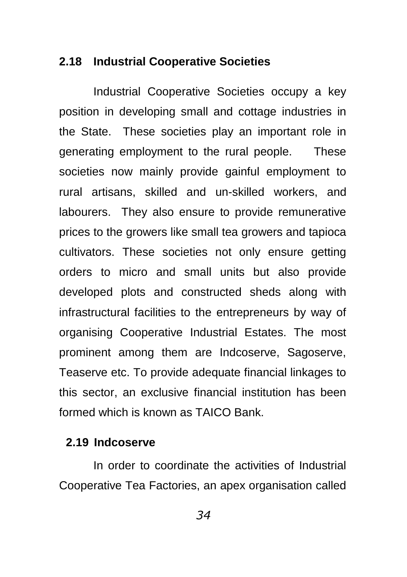#### **2.18 Industrial Cooperative Societies**

Industrial Cooperative Societies occupy a key position in developing small and cottage industries in the State. These societies play an important role in generating employment to the rural people. These societies now mainly provide gainful employment to rural artisans, skilled and un-skilled workers, and labourers. They also ensure to provide remunerative prices to the growers like small tea growers and tapioca cultivators. These societies not only ensure getting orders to micro and small units but also provide developed plots and constructed sheds along with infrastructural facilities to the entrepreneurs by way of organising Cooperative Industrial Estates. The most prominent among them are Indcoserve, Sagoserve, Teaserve etc. To provide adequate financial linkages to this sector, an exclusive financial institution has been formed which is known as TAICO Bank.

#### **2.19 Indcoserve**

In order to coordinate the activities of Industrial Cooperative Tea Factories, an apex organisation called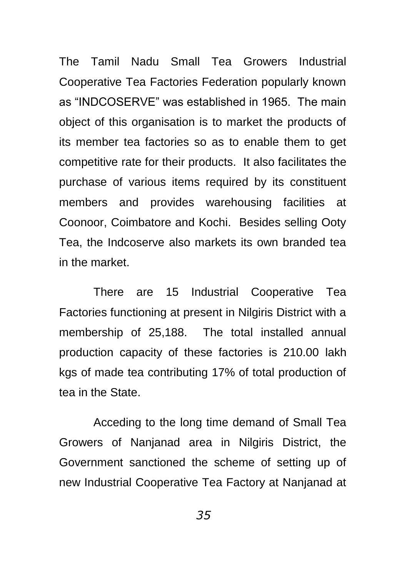The Tamil Nadu Small Tea Growers Industrial Cooperative Tea Factories Federation popularly known as "INDCOSERVE" was established in 1965. The main object of this organisation is to market the products of its member tea factories so as to enable them to get competitive rate for their products. It also facilitates the purchase of various items required by its constituent members and provides warehousing facilities at Coonoor, Coimbatore and Kochi. Besides selling Ooty Tea, the Indcoserve also markets its own branded tea in the market.

There are 15 Industrial Cooperative Tea Factories functioning at present in Nilgiris District with a membership of 25,188. The total installed annual production capacity of these factories is 210.00 lakh kgs of made tea contributing 17% of total production of tea in the State.

Acceding to the long time demand of Small Tea Growers of Nanjanad area in Nilgiris District, the Government sanctioned the scheme of setting up of new Industrial Cooperative Tea Factory at Nanjanad at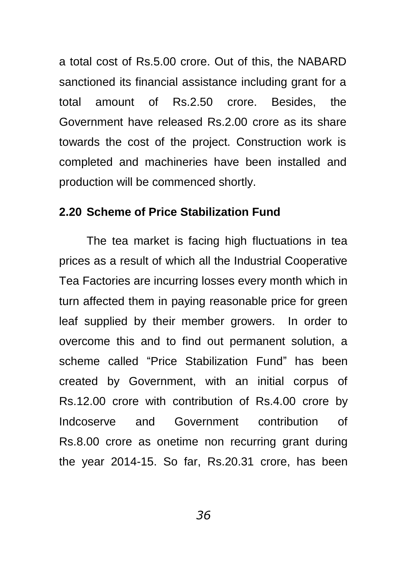a total cost of Rs.5.00 crore. Out of this, the NABARD sanctioned its financial assistance including grant for a total amount of Rs.2.50 crore. Besides, the Government have released Rs.2.00 crore as its share towards the cost of the project. Construction work is completed and machineries have been installed and production will be commenced shortly.

#### **2.20 Scheme of Price Stabilization Fund**

The tea market is facing high fluctuations in tea prices as a result of which all the Industrial Cooperative Tea Factories are incurring losses every month which in turn affected them in paying reasonable price for green leaf supplied by their member growers. In order to overcome this and to find out permanent solution, a scheme called "Price Stabilization Fund" has been created by Government, with an initial corpus of Rs.12.00 crore with contribution of Rs.4.00 crore by Indcoserve and Government contribution of Rs.8.00 crore as onetime non recurring grant during the year 2014-15. So far, Rs.20.31 crore, has been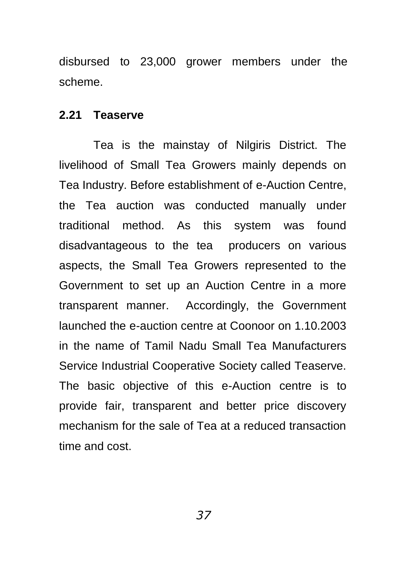disbursed to 23,000 grower members under the scheme.

#### **2.21 Teaserve**

Tea is the mainstay of Nilgiris District. The livelihood of Small Tea Growers mainly depends on Tea Industry. Before establishment of e-Auction Centre, the Tea auction was conducted manually under traditional method. As this system was found disadvantageous to the tea producers on various aspects, the Small Tea Growers represented to the Government to set up an Auction Centre in a more transparent manner. Accordingly, the Government launched the e-auction centre at Coonoor on 1.10.2003 in the name of Tamil Nadu Small Tea Manufacturers Service Industrial Cooperative Society called Teaserve. The basic objective of this e-Auction centre is to provide fair, transparent and better price discovery mechanism for the sale of Tea at a reduced transaction time and cost.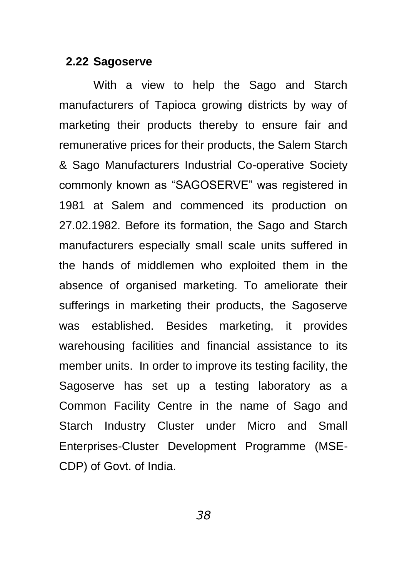#### **2.22 Sagoserve**

With a view to help the Sago and Starch manufacturers of Tapioca growing districts by way of marketing their products thereby to ensure fair and remunerative prices for their products, the Salem Starch & Sago Manufacturers Industrial Co-operative Society commonly known as "SAGOSERVE" was registered in 1981 at Salem and commenced its production on 27.02.1982. Before its formation, the Sago and Starch manufacturers especially small scale units suffered in the hands of middlemen who exploited them in the absence of organised marketing. To ameliorate their sufferings in marketing their products, the Sagoserve was established. Besides marketing, it provides warehousing facilities and financial assistance to its member units. In order to improve its testing facility, the Sagoserve has set up a testing laboratory as a Common Facility Centre in the name of Sago and Starch Industry Cluster under Micro and Small Enterprises-Cluster Development Programme (MSE-CDP) of Govt. of India.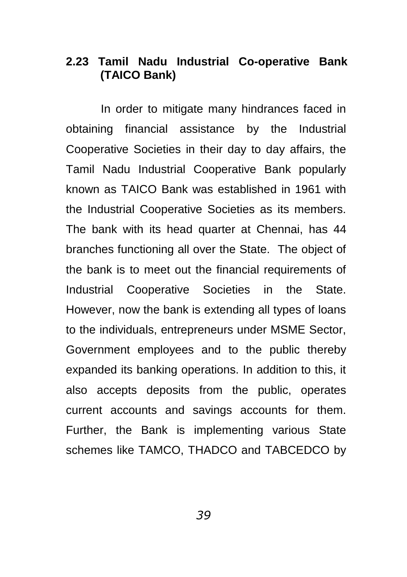# **2.23 Tamil Nadu Industrial Co-operative Bank (TAICO Bank)**

In order to mitigate many hindrances faced in obtaining financial assistance by the Industrial Cooperative Societies in their day to day affairs, the Tamil Nadu Industrial Cooperative Bank popularly known as TAICO Bank was established in 1961 with the Industrial Cooperative Societies as its members. The bank with its head quarter at Chennai, has 44 branches functioning all over the State. The object of the bank is to meet out the financial requirements of Industrial Cooperative Societies in the State. However, now the bank is extending all types of loans to the individuals, entrepreneurs under MSME Sector, Government employees and to the public thereby expanded its banking operations. In addition to this, it also accepts deposits from the public, operates current accounts and savings accounts for them. Further, the Bank is implementing various State schemes like TAMCO, THADCO and TABCEDCO by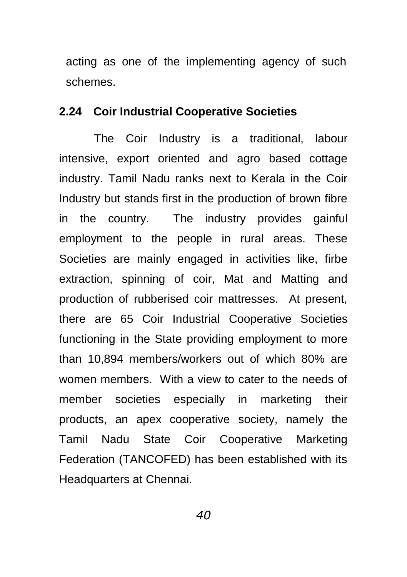acting as one of the implementing agency of such schemes.

### **2.24 Coir Industrial Cooperative Societies**

The Coir Industry is a traditional, labour intensive, export oriented and agro based cottage industry. Tamil Nadu ranks next to Kerala in the Coir Industry but stands first in the production of brown fibre in the country. The industry provides gainful employment to the people in rural areas. These Societies are mainly engaged in activities like, firbe extraction, spinning of coir, Mat and Matting and production of rubberised coir mattresses. At present, there are 65 Coir Industrial Cooperative Societies functioning in the State providing employment to more than 10,894 members/workers out of which 80% are women members. With a view to cater to the needs of member societies especially in marketing their products, an apex cooperative society, namely the Tamil Nadu State Coir Cooperative Marketing Federation (TANCOFED) has been established with its Headquarters at Chennai.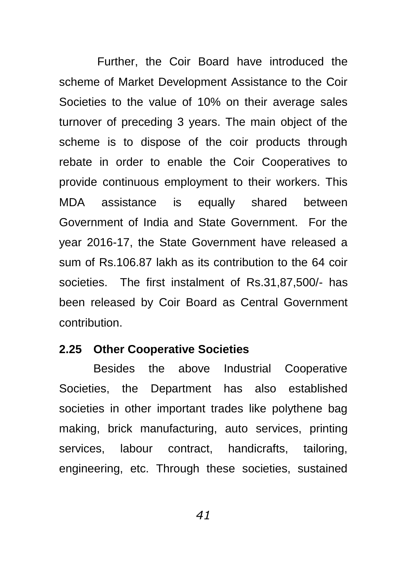Further, the Coir Board have introduced the scheme of Market Development Assistance to the Coir Societies to the value of 10% on their average sales turnover of preceding 3 years. The main object of the scheme is to dispose of the coir products through rebate in order to enable the Coir Cooperatives to provide continuous employment to their workers. This MDA assistance is equally shared between Government of India and State Government. For the year 2016-17, the State Government have released a sum of Rs.106.87 lakh as its contribution to the 64 coir societies. The first instalment of Rs.31,87,500/- has been released by Coir Board as Central Government contribution.

#### **2.25 Other Cooperative Societies**

Besides the above Industrial Cooperative Societies, the Department has also established societies in other important trades like polythene bag making, brick manufacturing, auto services, printing services, labour contract, handicrafts, tailoring, engineering, etc. Through these societies, sustained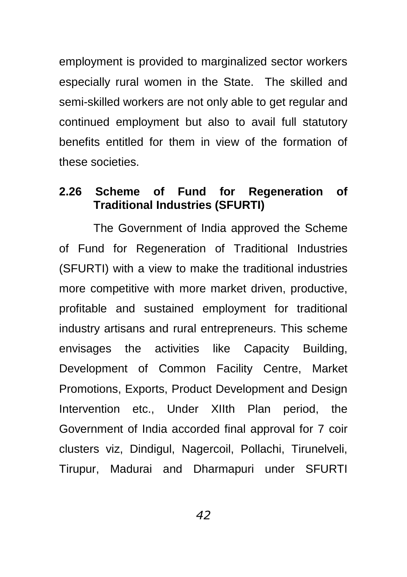employment is provided to marginalized sector workers especially rural women in the State. The skilled and semi-skilled workers are not only able to get regular and continued employment but also to avail full statutory benefits entitled for them in view of the formation of these societies.

# **2.26 Scheme of Fund for Regeneration of Traditional Industries (SFURTI)**

The Government of India approved the Scheme of Fund for Regeneration of Traditional Industries (SFURTI) with a view to make the traditional industries more competitive with more market driven, productive, profitable and sustained employment for traditional industry artisans and rural entrepreneurs. This scheme envisages the activities like Capacity Building, Development of Common Facility Centre, Market Promotions, Exports, Product Development and Design Intervention etc., Under XIIth Plan period, the Government of India accorded final approval for 7 coir clusters viz, Dindigul, Nagercoil, Pollachi, Tirunelveli, Tirupur, Madurai and Dharmapuri under SFURTI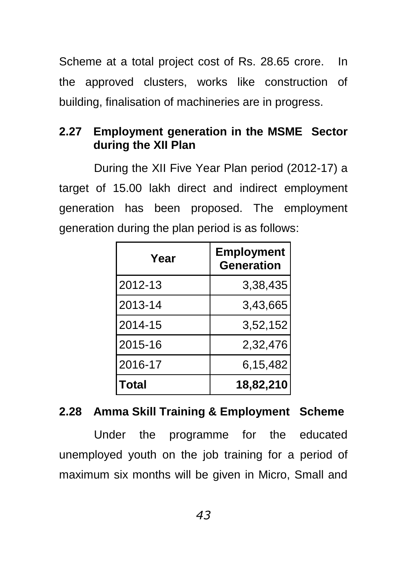Scheme at a total project cost of Rs. 28.65 crore. In the approved clusters, works like construction of building, finalisation of machineries are in progress.

# **2.27 Employment generation in the MSME Sector during the XII Plan**

During the XII Five Year Plan period (2012-17) a target of 15.00 lakh direct and indirect employment generation has been proposed. The employment generation during the plan period is as follows:

| Year    | <b>Employment</b><br><b>Generation</b> |
|---------|----------------------------------------|
| 2012-13 | 3,38,435                               |
| 2013-14 | 3,43,665                               |
| 2014-15 | 3,52,152                               |
| 2015-16 | 2,32,476                               |
| 2016-17 | 6,15,482                               |
| Total   | 18,82,210                              |

# **2.28 Amma Skill Training & Employment Scheme**

Under the programme for the educated unemployed youth on the job training for a period of maximum six months will be given in Micro, Small and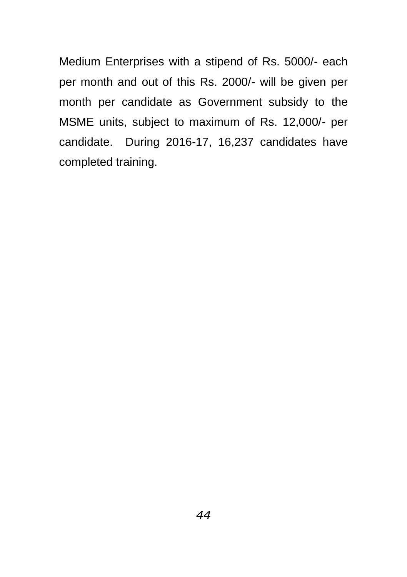Medium Enterprises with a stipend of Rs. 5000/- each per month and out of this Rs. 2000/- will be given per month per candidate as Government subsidy to the MSME units, subject to maximum of Rs. 12,000/- per candidate. During 2016-17, 16,237 candidates have completed training.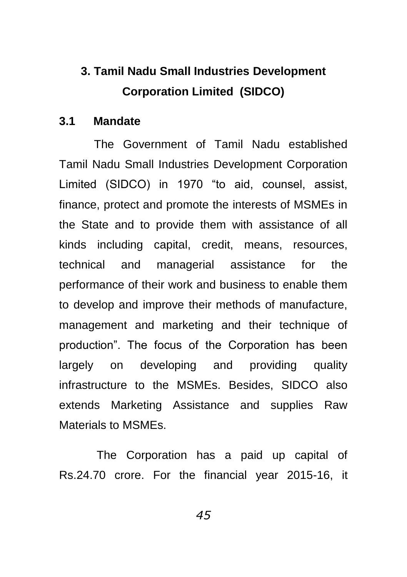# **3. Tamil Nadu Small Industries Development Corporation Limited (SIDCO)**

#### **3.1 Mandate**

The Government of Tamil Nadu established Tamil Nadu Small Industries Development Corporation Limited (SIDCO) in 1970 "to aid, counsel, assist, finance, protect and promote the interests of MSMEs in the State and to provide them with assistance of all kinds including capital, credit, means, resources, technical and managerial assistance for the performance of their work and business to enable them to develop and improve their methods of manufacture, management and marketing and their technique of production". The focus of the Corporation has been largely on developing and providing quality infrastructure to the MSMEs. Besides, SIDCO also extends Marketing Assistance and supplies Raw Materials to MSMEs.

The Corporation has a paid up capital of Rs.24.70 crore. For the financial year 2015-16, it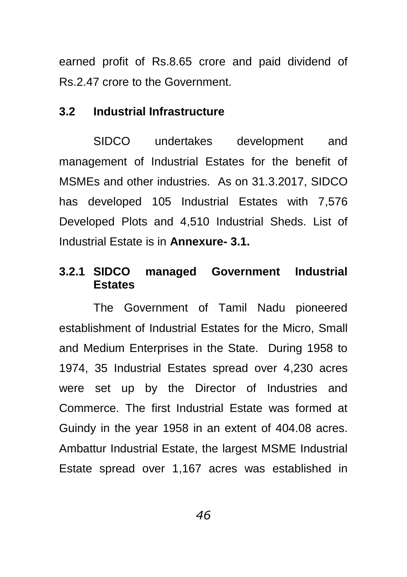earned profit of Rs.8.65 crore and paid dividend of Rs.2.47 crore to the Government.

### **3.2 Industrial Infrastructure**

SIDCO undertakes development and management of Industrial Estates for the benefit of MSMEs and other industries. As on 31.3.2017, SIDCO has developed 105 Industrial Estates with 7,576 Developed Plots and 4,510 Industrial Sheds. List of Industrial Estate is in **Annexure- 3.1.**

## **3.2.1 SIDCO managed Government Industrial Estates**

The Government of Tamil Nadu pioneered establishment of Industrial Estates for the Micro, Small and Medium Enterprises in the State. During 1958 to 1974, 35 Industrial Estates spread over 4,230 acres were set up by the Director of Industries and Commerce. The first Industrial Estate was formed at Guindy in the year 1958 in an extent of 404.08 acres. Ambattur Industrial Estate, the largest MSME Industrial Estate spread over 1,167 acres was established in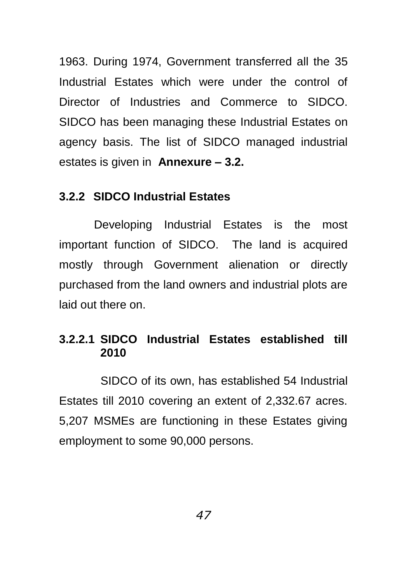1963. During 1974, Government transferred all the 35 Industrial Estates which were under the control of Director of Industries and Commerce to SIDCO. SIDCO has been managing these Industrial Estates on agency basis. The list of SIDCO managed industrial estates is given in **Annexure – 3.2.**

### **3.2.2 SIDCO Industrial Estates**

Developing Industrial Estates is the most important function of SIDCO. The land is acquired mostly through Government alienation or directly purchased from the land owners and industrial plots are laid out there on.

## **3.2.2.1 SIDCO Industrial Estates established till 2010**

 SIDCO of its own, has established 54 Industrial Estates till 2010 covering an extent of 2,332.67 acres. 5,207 MSMEs are functioning in these Estates giving employment to some 90,000 persons.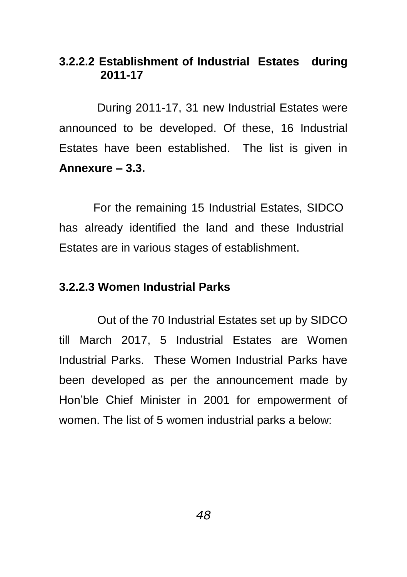# **3.2.2.2 Establishment of Industrial Estates during 2011-17**

During 2011-17, 31 new Industrial Estates were announced to be developed. Of these, 16 Industrial Estates have been established. The list is given in **Annexure – 3.3.**

For the remaining 15 Industrial Estates, SIDCO has already identified the land and these Industrial Estates are in various stages of establishment.

#### **3.2.2.3 Women Industrial Parks**

Out of the 70 Industrial Estates set up by SIDCO till March 2017, 5 Industrial Estates are Women Industrial Parks. These Women Industrial Parks have been developed as per the announcement made by Hon"ble Chief Minister in 2001 for empowerment of women. The list of 5 women industrial parks a below: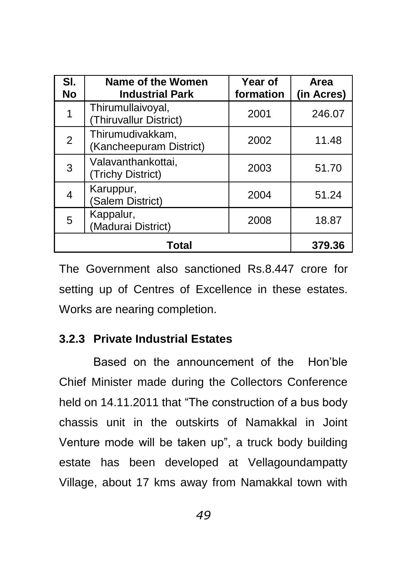| SI.<br><b>No</b> | Name of the Women<br><b>Industrial Park</b> | Year of<br>formation | Area<br>(in Acres) |
|------------------|---------------------------------------------|----------------------|--------------------|
|                  | Thirumullaivoyal,<br>(Thiruvallur District) | 2001                 | 246.07             |
| $\overline{2}$   | Thirumudivakkam,<br>(Kancheepuram District) | 2002                 | 11.48              |
| 3                | Valavanthankottai,<br>(Trichy District)     | 2003                 | 51.70              |
|                  | Karuppur,<br>(Salem District)               | 2004                 | 51.24              |
| 5                | Kappalur,<br>(Madurai District)             | 2008                 | 18.87              |
|                  | Total                                       |                      | 379.36             |

The Government also sanctioned Rs.8.447 crore for setting up of Centres of Excellence in these estates. Works are nearing completion.

# **3.2.3 Private Industrial Estates**

Based on the announcement of the Hon"ble Chief Minister made during the Collectors Conference held on 14.11.2011 that "The construction of a bus body chassis unit in the outskirts of Namakkal in Joint Venture mode will be taken up", a truck body building estate has been developed at Vellagoundampatty Village, about 17 kms away from Namakkal town with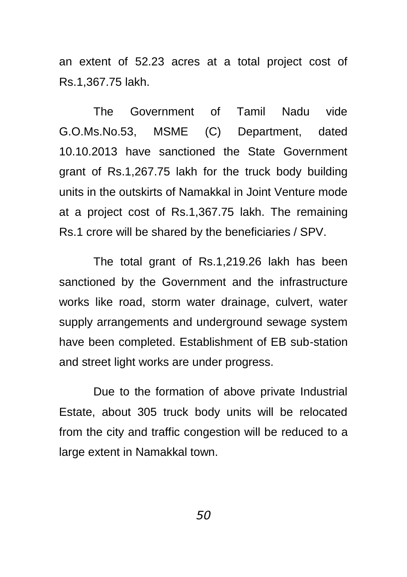an extent of 52.23 acres at a total project cost of Rs.1,367.75 lakh.

The Government of Tamil Nadu vide G.O.Ms.No.53, MSME (C) Department, dated 10.10.2013 have sanctioned the State Government grant of Rs.1,267.75 lakh for the truck body building units in the outskirts of Namakkal in Joint Venture mode at a project cost of Rs.1,367.75 lakh. The remaining Rs.1 crore will be shared by the beneficiaries / SPV.

The total grant of Rs.1,219.26 lakh has been sanctioned by the Government and the infrastructure works like road, storm water drainage, culvert, water supply arrangements and underground sewage system have been completed. Establishment of EB sub-station and street light works are under progress.

Due to the formation of above private Industrial Estate, about 305 truck body units will be relocated from the city and traffic congestion will be reduced to a large extent in Namakkal town.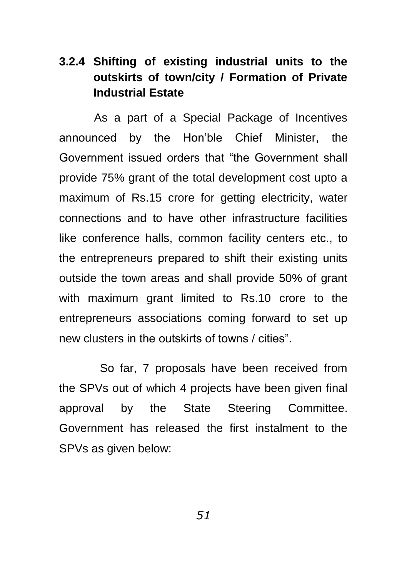# **3.2.4 Shifting of existing industrial units to the outskirts of town/city / Formation of Private Industrial Estate**

As a part of a Special Package of Incentives announced by the Hon"ble Chief Minister, the Government issued orders that "the Government shall provide 75% grant of the total development cost upto a maximum of Rs.15 crore for getting electricity, water connections and to have other infrastructure facilities like conference halls, common facility centers etc., to the entrepreneurs prepared to shift their existing units outside the town areas and shall provide 50% of grant with maximum grant limited to Rs.10 crore to the entrepreneurs associations coming forward to set up new clusters in the outskirts of towns / cities".

 So far, 7 proposals have been received from the SPVs out of which 4 projects have been given final approval by the State Steering Committee. Government has released the first instalment to the SPVs as given below: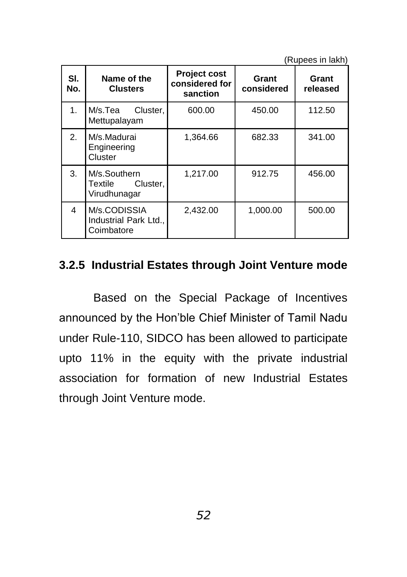(Rupees in lakh)

| SI.<br>No.     | Name of the<br><b>Clusters</b>                      | <b>Project cost</b><br>considered for<br>sanction | Grant<br>considered | Grant<br>released |
|----------------|-----------------------------------------------------|---------------------------------------------------|---------------------|-------------------|
| 1 <sub>1</sub> | M/s.Tea<br>Cluster,<br>Mettupalayam                 | 600.00                                            | 450.00              | 112.50            |
| 2.             | M/s.Madurai<br>Engineering<br>Cluster               | 1,364.66                                          | 682.33              | 341.00            |
| 3.             | M/s.Southern<br>Cluster.<br>Textile<br>Virudhunagar | 1,217.00                                          | 912.75              | 456.00            |
| 4              | M/s.CODISSIA<br>Industrial Park Ltd.,<br>Coimbatore | 2.432.00                                          | 1.000.00            | 500.00            |

# **3.2.5 Industrial Estates through Joint Venture mode**

Based on the Special Package of Incentives announced by the Hon"ble Chief Minister of Tamil Nadu under Rule-110, SIDCO has been allowed to participate upto 11% in the equity with the private industrial association for formation of new Industrial Estates through Joint Venture mode.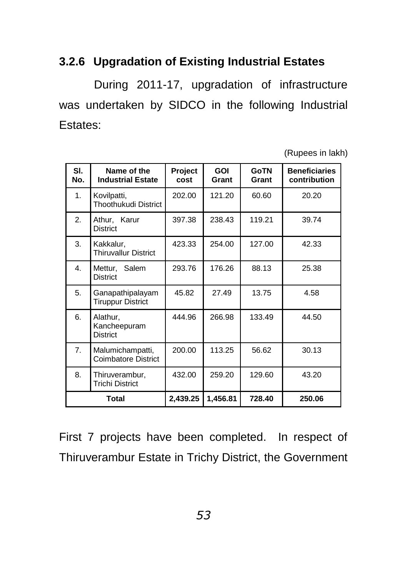# **3.2.6 Upgradation of Existing Industrial Estates**

During 2011-17, upgradation of infrastructure was undertaken by SIDCO in the following Industrial Estates:

(Rupees in lakh)

| SI.<br>No. | Name of the<br><b>Industrial Estate</b>        | Project<br>cost | <b>GOI</b><br>Grant | <b>GoTN</b><br>Grant | <b>Beneficiaries</b><br>contribution |
|------------|------------------------------------------------|-----------------|---------------------|----------------------|--------------------------------------|
| 1.         | Kovilpatti,<br>Thoothukudi District            | 202.00          | 121.20              | 60.60                | 20.20                                |
| 2.         | Athur, Karur<br><b>District</b>                | 397.38          | 238.43              | 119.21               | 39.74                                |
| 3.         | Kakkalur,<br><b>Thiruvallur District</b>       | 423.33          | 254.00              | 127.00               | 42.33                                |
| 4.         | Mettur, Salem<br><b>District</b>               | 293.76          | 176.26              | 88.13                | 25.38                                |
| 5.         | Ganapathipalayam<br><b>Tiruppur District</b>   | 45.82           | 27.49               | 13.75                | 4.58                                 |
| 6.         | Alathur,<br>Kancheepuram<br><b>District</b>    | 444.96          | 266.98              | 133.49               | 44.50                                |
| 7.         | Malumichampatti,<br><b>Coimbatore District</b> | 200.00          | 113.25              | 56.62                | 30.13                                |
| 8.         | Thiruverambur,<br><b>Trichi District</b>       | 432.00          | 259.20              | 129.60               | 43.20                                |
|            | <b>Total</b>                                   | 2,439.25        | 1,456.81            | 728.40               | 250.06                               |

First 7 projects have been completed. In respect of Thiruverambur Estate in Trichy District, the Government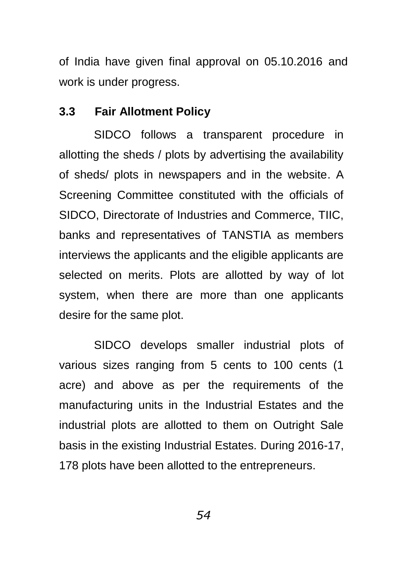of India have given final approval on 05.10.2016 and work is under progress.

### **3.3 Fair Allotment Policy**

SIDCO follows a transparent procedure in allotting the sheds / plots by advertising the availability of sheds/ plots in newspapers and in the website. A Screening Committee constituted with the officials of SIDCO, Directorate of Industries and Commerce, TIIC, banks and representatives of TANSTIA as members interviews the applicants and the eligible applicants are selected on merits. Plots are allotted by way of lot system, when there are more than one applicants desire for the same plot.

SIDCO develops smaller industrial plots of various sizes ranging from 5 cents to 100 cents (1 acre) and above as per the requirements of the manufacturing units in the Industrial Estates and the industrial plots are allotted to them on Outright Sale basis in the existing Industrial Estates. During 2016-17, 178 plots have been allotted to the entrepreneurs.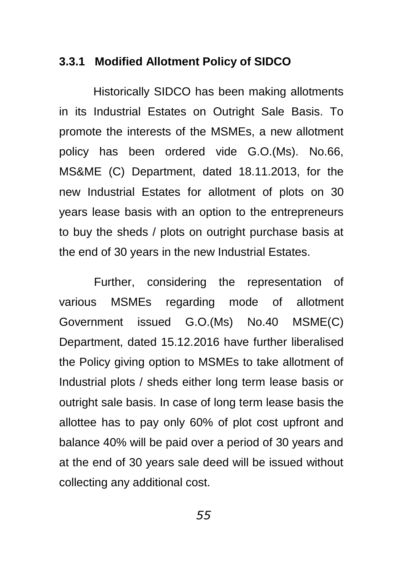#### **3.3.1 Modified Allotment Policy of SIDCO**

Historically SIDCO has been making allotments in its Industrial Estates on Outright Sale Basis. To promote the interests of the MSMEs, a new allotment policy has been ordered vide G.O.(Ms). No.66, MS&ME (C) Department, dated 18.11.2013, for the new Industrial Estates for allotment of plots on 30 years lease basis with an option to the entrepreneurs to buy the sheds / plots on outright purchase basis at the end of 30 years in the new Industrial Estates.

Further, considering the representation of various MSMEs regarding mode of allotment Government issued G.O.(Ms) No.40 MSME(C) Department, dated 15.12.2016 have further liberalised the Policy giving option to MSMEs to take allotment of Industrial plots / sheds either long term lease basis or outright sale basis. In case of long term lease basis the allottee has to pay only 60% of plot cost upfront and balance 40% will be paid over a period of 30 years and at the end of 30 years sale deed will be issued without collecting any additional cost.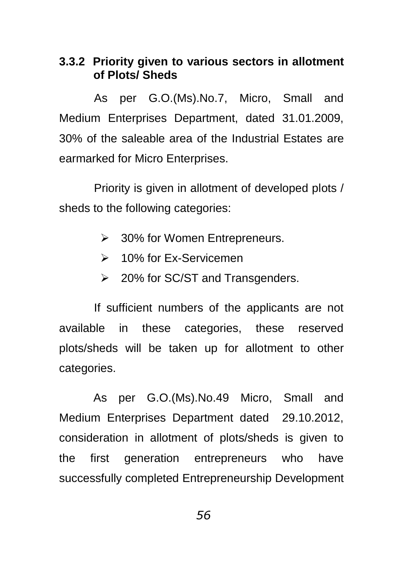## **3.3.2 Priority given to various sectors in allotment of Plots/ Sheds**

As per G.O.(Ms).No.7, Micro, Small and Medium Enterprises Department, dated 31.01.2009, 30% of the saleable area of the Industrial Estates are earmarked for Micro Enterprises.

Priority is given in allotment of developed plots / sheds to the following categories:

- **▶ 30% for Women Entrepreneurs.**
- **► 10% for Ex-Servicemen**
- $\geq$  20% for SC/ST and Transgenders.

If sufficient numbers of the applicants are not available in these categories, these reserved plots/sheds will be taken up for allotment to other categories.

As per G.O.(Ms).No.49 Micro, Small and Medium Enterprises Department dated 29.10.2012, consideration in allotment of plots/sheds is given to the first generation entrepreneurs who have successfully completed Entrepreneurship Development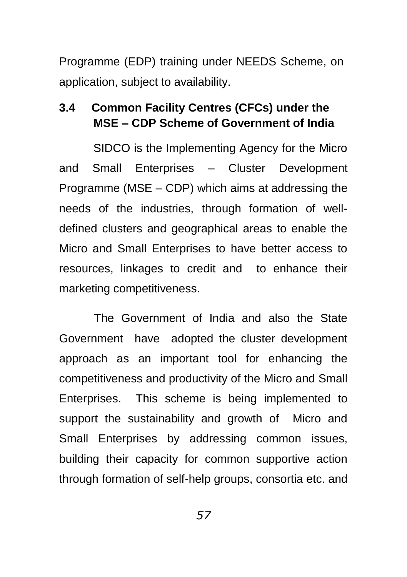Programme (EDP) training under NEEDS Scheme, on application, subject to availability.

# **3.4 Common Facility Centres (CFCs) under the MSE – CDP Scheme of Government of India**

SIDCO is the Implementing Agency for the Micro and Small Enterprises – Cluster Development Programme (MSE – CDP) which aims at addressing the needs of the industries, through formation of welldefined clusters and geographical areas to enable the Micro and Small Enterprises to have better access to resources, linkages to credit and to enhance their marketing competitiveness.

The Government of India and also the State Government have adopted the cluster development approach as an important tool for enhancing the competitiveness and productivity of the Micro and Small Enterprises. This scheme is being implemented to support the sustainability and growth of Micro and Small Enterprises by addressing common issues, building their capacity for common supportive action through formation of self-help groups, consortia etc. and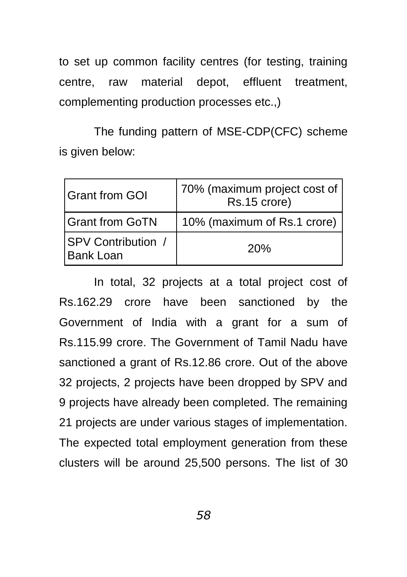to set up common facility centres (for testing, training centre, raw material depot, effluent treatment, complementing production processes etc.,)

The funding pattern of MSE-CDP(CFC) scheme is given below:

| <b>Grant from GOI</b>                         | 70% (maximum project cost of<br>Rs.15 crore) |
|-----------------------------------------------|----------------------------------------------|
| <b>Grant from GoTN</b>                        | 10% (maximum of Rs.1 crore)                  |
| <b>SPV Contribution /</b><br><b>Bank Loan</b> | 20%                                          |

In total, 32 projects at a total project cost of Rs.162.29 crore have been sanctioned by the Government of India with a grant for a sum of Rs.115.99 crore. The Government of Tamil Nadu have sanctioned a grant of Rs.12.86 crore. Out of the above 32 projects, 2 projects have been dropped by SPV and 9 projects have already been completed. The remaining 21 projects are under various stages of implementation. The expected total employment generation from these clusters will be around 25,500 persons. The list of 30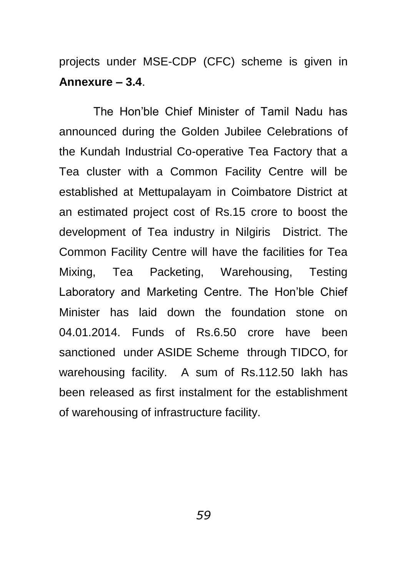projects under MSE-CDP (CFC) scheme is given in **Annexure – 3.4**.

The Hon"ble Chief Minister of Tamil Nadu has announced during the Golden Jubilee Celebrations of the Kundah Industrial Co-operative Tea Factory that a Tea cluster with a Common Facility Centre will be established at Mettupalayam in Coimbatore District at an estimated project cost of Rs.15 crore to boost the development of Tea industry in Nilgiris District. The Common Facility Centre will have the facilities for Tea Mixing, Tea Packeting, Warehousing, Testing Laboratory and Marketing Centre. The Hon"ble Chief Minister has laid down the foundation stone on 04.01.2014. Funds of Rs.6.50 crore have been sanctioned under ASIDE Scheme through TIDCO, for warehousing facility. A sum of Rs.112.50 lakh has been released as first instalment for the establishment of warehousing of infrastructure facility.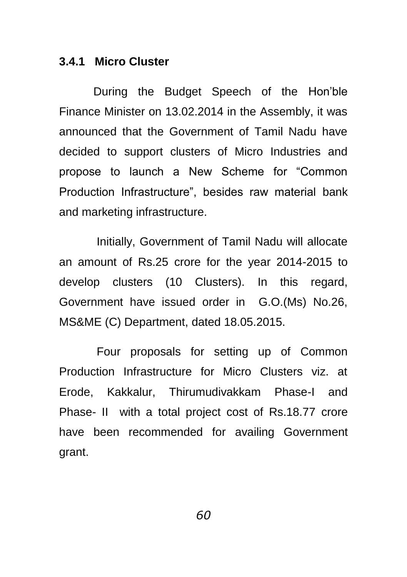#### **3.4.1 Micro Cluster**

During the Budget Speech of the Hon"ble Finance Minister on 13.02.2014 in the Assembly, it was announced that the Government of Tamil Nadu have decided to support clusters of Micro Industries and propose to launch a New Scheme for "Common Production Infrastructure", besides raw material bank and marketing infrastructure.

Initially, Government of Tamil Nadu will allocate an amount of Rs.25 crore for the year 2014-2015 to develop clusters (10 Clusters). In this regard, Government have issued order in G.O.(Ms) No.26, MS&ME (C) Department, dated 18.05.2015.

Four proposals for setting up of Common Production Infrastructure for Micro Clusters viz. at Erode, Kakkalur, Thirumudivakkam Phase-I and Phase- II with a total project cost of Rs.18.77 crore have been recommended for availing Government grant.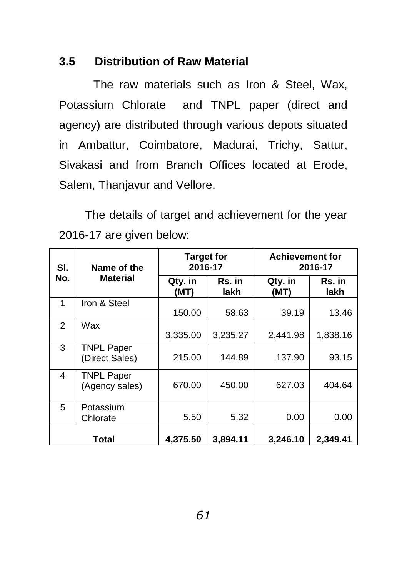## **3.5 Distribution of Raw Material**

The raw materials such as Iron & Steel, Wax, Potassium Chlorate and TNPL paper (direct and agency) are distributed through various depots situated in Ambattur, Coimbatore, Madurai, Trichy, Sattur, Sivakasi and from Branch Offices located at Erode, Salem, Thanjavur and Vellore.

The details of target and achievement for the year 2016-17 are given below:

| SI.<br>Name of the |                                     | <b>Target for</b><br>2016-17 |                | <b>Achievement for</b><br>2016-17 |                |
|--------------------|-------------------------------------|------------------------------|----------------|-----------------------------------|----------------|
| No.                | <b>Material</b>                     | Qty. in<br>(MT)              | Rs. in<br>lakh | Qty. in<br>(MT)                   | Rs. in<br>lakh |
| 1                  | Iron & Steel                        | 150.00                       | 58.63          | 39.19                             | 13.46          |
| $\mathcal{P}$      | Wax                                 | 3,335.00                     | 3,235.27       | 2,441.98                          | 1,838.16       |
| 3                  | <b>TNPL Paper</b><br>(Direct Sales) | 215.00                       | 144.89         | 137.90                            | 93.15          |
| 4                  | <b>TNPL Paper</b><br>(Agency sales) | 670.00                       | 450.00         | 627.03                            | 404.64         |
| 5                  | Potassium<br>Chlorate               | 5.50                         | 5.32           | 0.00                              | 0.00           |
|                    | Total                               | 4,375.50                     | 3.894.11       | 3,246.10                          | 2.349.41       |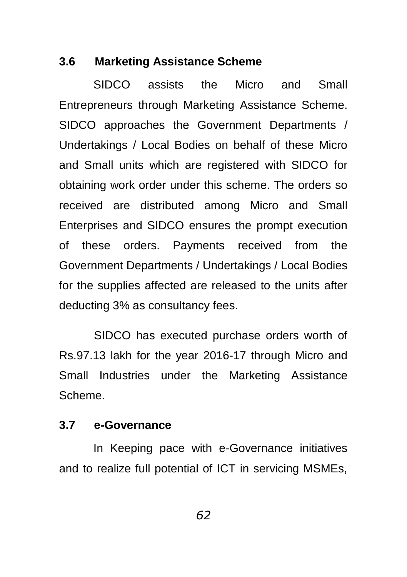### **3.6 Marketing Assistance Scheme**

SIDCO assists the Micro and Small Entrepreneurs through Marketing Assistance Scheme. SIDCO approaches the Government Departments / Undertakings / Local Bodies on behalf of these Micro and Small units which are registered with SIDCO for obtaining work order under this scheme. The orders so received are distributed among Micro and Small Enterprises and SIDCO ensures the prompt execution of these orders. Payments received from the Government Departments / Undertakings / Local Bodies for the supplies affected are released to the units after deducting 3% as consultancy fees.

SIDCO has executed purchase orders worth of Rs.97.13 lakh for the year 2016-17 through Micro and Small Industries under the Marketing Assistance Scheme.

## **3.7 e-Governance**

In Keeping pace with e-Governance initiatives and to realize full potential of ICT in servicing MSMEs,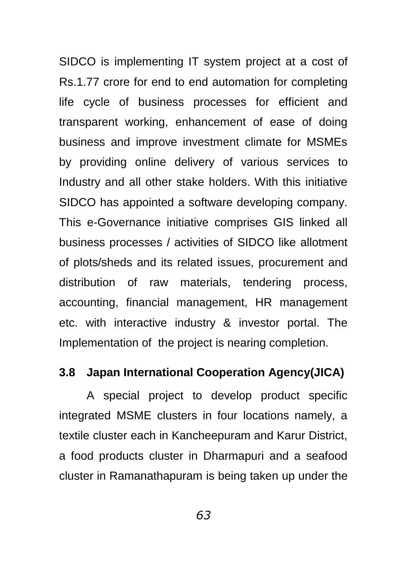SIDCO is implementing IT system project at a cost of Rs.1.77 crore for end to end automation for completing life cycle of business processes for efficient and transparent working, enhancement of ease of doing business and improve investment climate for MSMEs by providing online delivery of various services to Industry and all other stake holders. With this initiative SIDCO has appointed a software developing company. This e-Governance initiative comprises GIS linked all business processes / activities of SIDCO like allotment of plots/sheds and its related issues, procurement and distribution of raw materials, tendering process, accounting, financial management, HR management etc. with interactive industry & investor portal. The Implementation of the project is nearing completion.

#### **3.8 Japan International Cooperation Agency(JICA)**

A special project to develop product specific integrated MSME clusters in four locations namely, a textile cluster each in Kancheepuram and Karur District, a food products cluster in Dharmapuri and a seafood cluster in Ramanathapuram is being taken up under the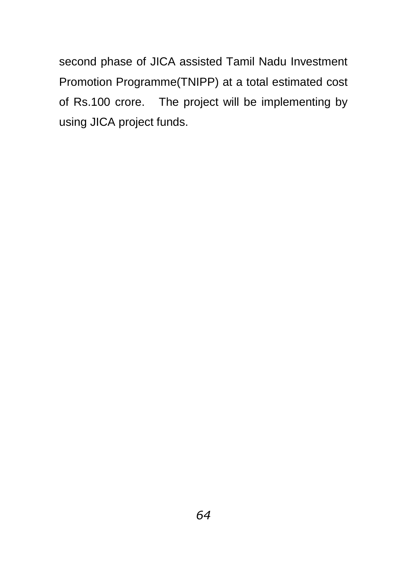second phase of JICA assisted Tamil Nadu Investment Promotion Programme(TNIPP) at a total estimated cost of Rs.100 crore. The project will be implementing by using JICA project funds.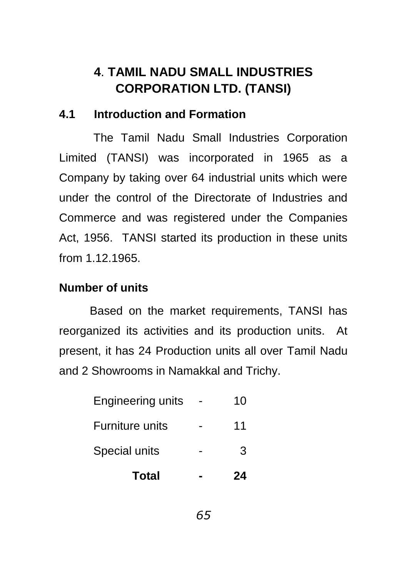# **4**. **TAMIL NADU SMALL INDUSTRIES CORPORATION LTD. (TANSI)**

# **4.1 Introduction and Formation**

The Tamil Nadu Small Industries Corporation Limited (TANSI) was incorporated in 1965 as a Company by taking over 64 industrial units which were under the control of the Directorate of Industries and Commerce and was registered under the Companies Act, 1956. TANSI started its production in these units from 1.12.1965.

# **Number of units**

Based on the market requirements, TANSI has reorganized its activities and its production units. At present, it has 24 Production units all over Tamil Nadu and 2 Showrooms in Namakkal and Trichy.

| Total                    | 24 |
|--------------------------|----|
| Special units            | 3  |
| Furniture units          | 11 |
| <b>Engineering units</b> | 10 |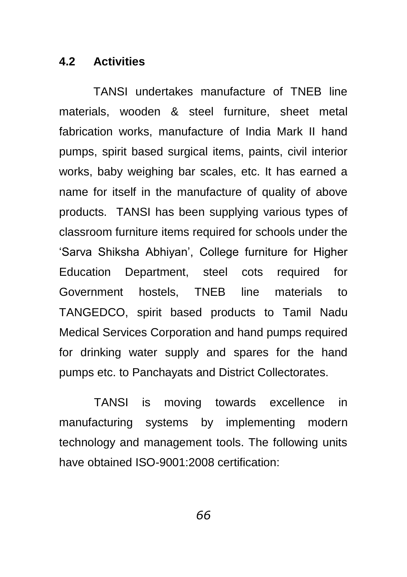### **4.2 Activities**

TANSI undertakes manufacture of TNEB line materials, wooden & steel furniture, sheet metal fabrication works, manufacture of India Mark II hand pumps, spirit based surgical items, paints, civil interior works, baby weighing bar scales, etc. It has earned a name for itself in the manufacture of quality of above products. TANSI has been supplying various types of classroom furniture items required for schools under the "Sarva Shiksha Abhiyan", College furniture for Higher Education Department, steel cots required for Government hostels, TNEB line materials to TANGEDCO, spirit based products to Tamil Nadu Medical Services Corporation and hand pumps required for drinking water supply and spares for the hand pumps etc. to Panchayats and District Collectorates.

TANSI is moving towards excellence in manufacturing systems by implementing modern technology and management tools. The following units have obtained ISO-9001:2008 certification: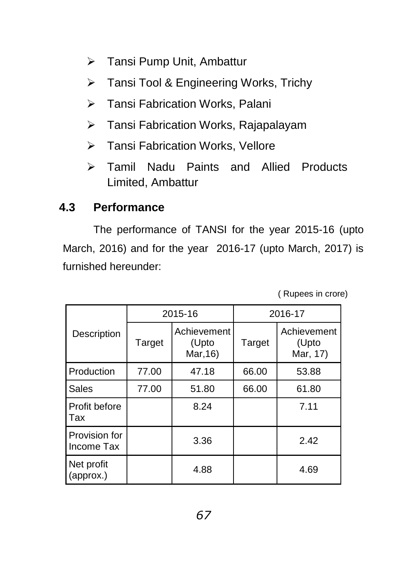- > Tansi Pump Unit, Ambattur
- > Tansi Tool & Engineering Works, Trichy
- > Tansi Fabrication Works, Palani
- > Tansi Fabrication Works, Rajapalayam
- Tansi Fabrication Works, Vellore
- Tamil Nadu Paints and Allied Products Limited, Ambattur

# **4.3 Performance**

The performance of TANSI for the year 2015-16 (upto March, 2016) and for the year 2016-17 (upto March, 2017) is furnished hereunder:

( Rupees in crore)

|                             | 2015-16 |                                  | 2016-17 |                                  |
|-----------------------------|---------|----------------------------------|---------|----------------------------------|
| Description                 | Target  | Achievement<br>(Upto<br>Mar, 16) | Target  | Achievement<br>(Upto<br>Mar, 17) |
| Production                  | 77.00   | 47.18                            | 66.00   | 53.88                            |
| Sales                       | 77.00   | 51.80                            | 66.00   | 61.80                            |
| Profit before<br>Tax        |         | 8.24                             |         | 7.11                             |
| Provision for<br>Income Tax |         | 3.36                             |         | 2.42                             |
| Net profit<br>(approx.)     |         | 4.88                             |         | 4.69                             |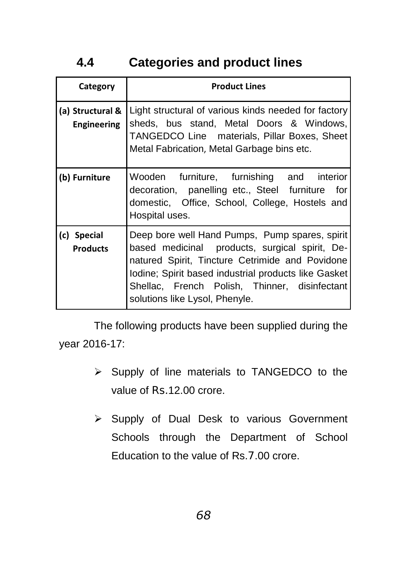# **4.4 Categories and product lines**

| Category                               | <b>Product Lines</b>                                                                                                                                                                                                                                                                           |
|----------------------------------------|------------------------------------------------------------------------------------------------------------------------------------------------------------------------------------------------------------------------------------------------------------------------------------------------|
| (a) Structural &<br><b>Engineering</b> | Light structural of various kinds needed for factory<br>sheds, bus stand, Metal Doors & Windows,<br>TANGEDCO Line materials, Pillar Boxes, Sheet<br>Metal Fabrication, Metal Garbage bins etc.                                                                                                 |
| (b) Furniture                          | Wooden furniture, furnishing and interior<br>decoration, panelling etc., Steel furniture for<br>domestic, Office, School, College, Hostels and<br>Hospital uses.                                                                                                                               |
| (c) Special<br><b>Products</b>         | Deep bore well Hand Pumps, Pump spares, spirit<br>based medicinal products, surgical spirit, De-<br>natured Spirit, Tincture Cetrimide and Povidone<br>Iodine; Spirit based industrial products like Gasket<br>Shellac, French Polish, Thinner, disinfectant<br>solutions like Lysol, Phenyle. |

The following products have been supplied during the year 2016-17:

- $\triangleright$  Supply of line materials to TANGEDCO to the value of Rs.12.00 crore.
- ▶ Supply of Dual Desk to various Government Schools through the Department of School Education to the value of Rs.7.00 crore.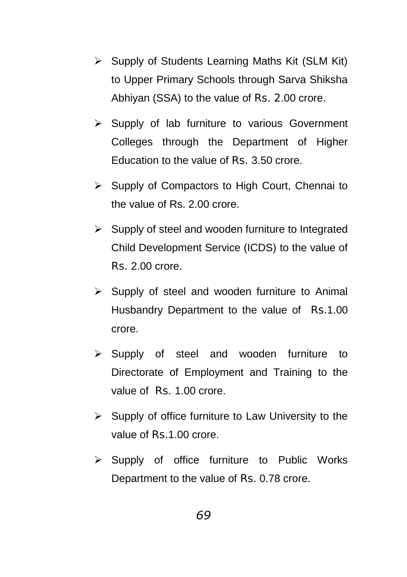- $\triangleright$  Supply of Students Learning Maths Kit (SLM Kit) to Upper Primary Schools through Sarva Shiksha Abhiyan (SSA) to the value of Rs. 2.00 crore.
- $\triangleright$  Supply of lab furniture to various Government Colleges through the Department of Higher Education to the value of Rs. 3.50 crore.
- $\triangleright$  Supply of Compactors to High Court, Chennai to the value of Rs. 2.00 crore.
- $\triangleright$  Supply of steel and wooden furniture to Integrated Child Development Service (ICDS) to the value of Rs. 2.00 crore.
- $\triangleright$  Supply of steel and wooden furniture to Animal Husbandry Department to the value of Rs.1.00 crore.
- $\triangleright$  Supply of steel and wooden furniture to Directorate of Employment and Training to the value of Rs. 1.00 crore.
- $\triangleright$  Supply of office furniture to Law University to the value of Rs.1.00 crore.
- $\triangleright$  Supply of office furniture to Public Works Department to the value of Rs. 0.78 crore.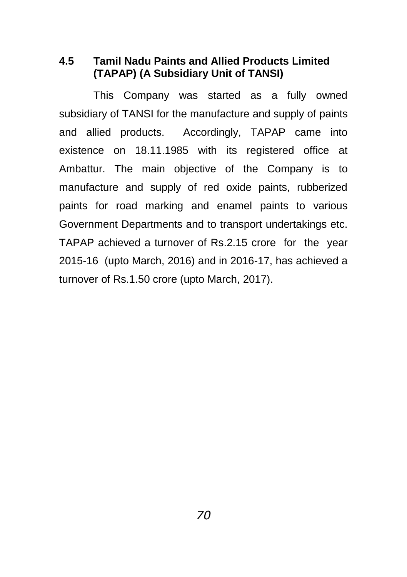**4.5 Tamil Nadu Paints and Allied Products Limited (TAPAP) (A Subsidiary Unit of TANSI)**

This Company was started as a fully owned subsidiary of TANSI for the manufacture and supply of paints and allied products. Accordingly, TAPAP came into existence on 18.11.1985 with its registered office at Ambattur. The main objective of the Company is to manufacture and supply of red oxide paints, rubberized paints for road marking and enamel paints to various Government Departments and to transport undertakings etc. TAPAP achieved a turnover of Rs.2.15 crore for the year 2015-16 (upto March, 2016) and in 2016-17, has achieved a turnover of Rs.1.50 crore (upto March, 2017).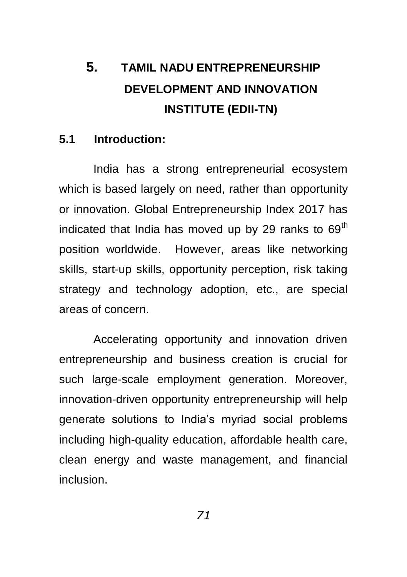# **5. TAMIL NADU ENTREPRENEURSHIP DEVELOPMENT AND INNOVATION INSTITUTE (EDII-TN)**

## **5.1 Introduction:**

India has a strong entrepreneurial ecosystem which is based largely on need, rather than opportunity or innovation. Global Entrepreneurship Index 2017 has indicated that India has moved up by 29 ranks to  $69<sup>th</sup>$ position worldwide. However, areas like networking skills, start-up skills, opportunity perception, risk taking strategy and technology adoption, etc., are special areas of concern.

Accelerating opportunity and innovation driven entrepreneurship and business creation is crucial for such large-scale employment generation. Moreover, innovation-driven opportunity entrepreneurship will help generate solutions to India"s myriad social problems including high-quality education, affordable health care, clean energy and waste management, and financial inclusion.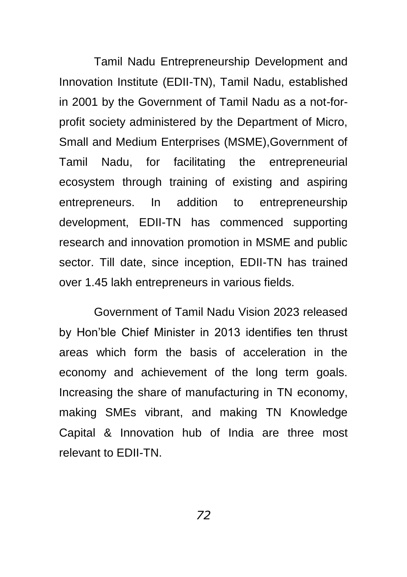Tamil Nadu Entrepreneurship Development and Innovation Institute (EDII-TN), Tamil Nadu, established in 2001 by the Government of Tamil Nadu as a not-forprofit society administered by the Department of Micro, Small and Medium Enterprises (MSME),Government of Tamil Nadu, for facilitating the entrepreneurial ecosystem through training of existing and aspiring entrepreneurs. In addition to entrepreneurship development, EDII-TN has commenced supporting research and innovation promotion in MSME and public sector. Till date, since inception, EDII-TN has trained over 1.45 lakh entrepreneurs in various fields.

Government of Tamil Nadu Vision 2023 released by Hon"ble Chief Minister in 2013 identifies ten thrust areas which form the basis of acceleration in the economy and achievement of the long term goals. Increasing the share of manufacturing in TN economy, making SMEs vibrant, and making TN Knowledge Capital & Innovation hub of India are three most relevant to EDII-TN.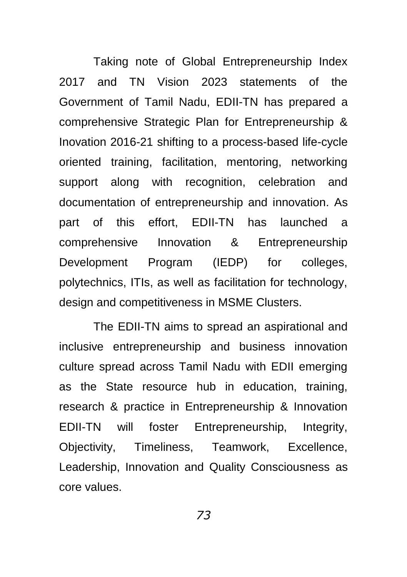Taking note of Global Entrepreneurship Index 2017 and TN Vision 2023 statements of the Government of Tamil Nadu, EDII-TN has prepared a comprehensive Strategic Plan for Entrepreneurship & Inovation 2016-21 shifting to a process-based life-cycle oriented training, facilitation, mentoring, networking support along with recognition, celebration and documentation of entrepreneurship and innovation. As part of this effort, EDII-TN has launched a comprehensive Innovation & Entrepreneurship Development Program (IEDP) for colleges, polytechnics, ITIs, as well as facilitation for technology, design and competitiveness in MSME Clusters.

The EDII-TN aims to spread an aspirational and inclusive entrepreneurship and business innovation culture spread across Tamil Nadu with EDII emerging as the State resource hub in education, training, research & practice in Entrepreneurship & Innovation EDII-TN will foster Entrepreneurship, Integrity, Objectivity, Timeliness, Teamwork, Excellence, Leadership, Innovation and Quality Consciousness as core values.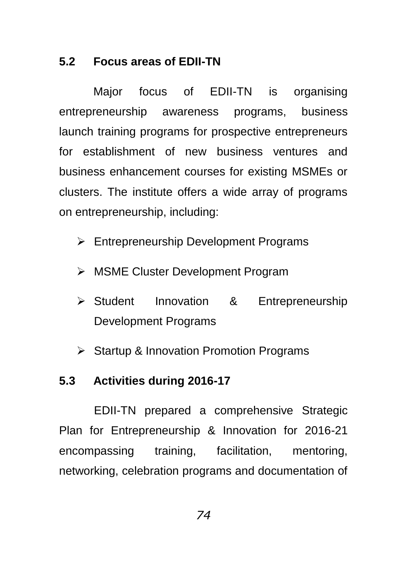# **5.2 Focus areas of EDII-TN**

Major focus of EDII-TN is organising entrepreneurship awareness programs, business launch training programs for prospective entrepreneurs for establishment of new business ventures and business enhancement courses for existing MSMEs or clusters. The institute offers a wide array of programs on entrepreneurship, including:

- **Entrepreneurship Development Programs**
- MSME Cluster Development Program
- Student Innovation & Entrepreneurship Development Programs
- $\triangleright$  Startup & Innovation Promotion Programs

## **5.3 Activities during 2016-17**

EDII-TN prepared a comprehensive Strategic Plan for Entrepreneurship & Innovation for 2016-21 encompassing training, facilitation, mentoring, networking, celebration programs and documentation of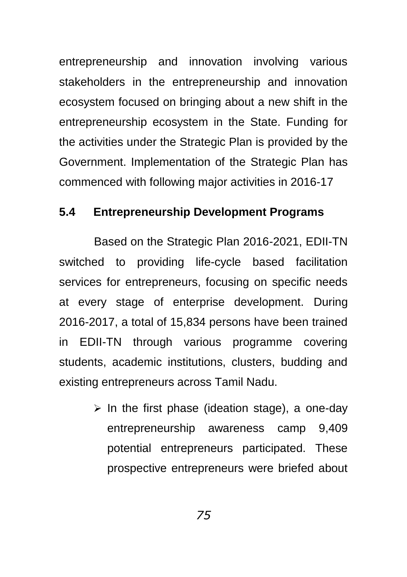entrepreneurship and innovation involving various stakeholders in the entrepreneurship and innovation ecosystem focused on bringing about a new shift in the entrepreneurship ecosystem in the State. Funding for the activities under the Strategic Plan is provided by the Government. Implementation of the Strategic Plan has commenced with following major activities in 2016-17

## **5.4 Entrepreneurship Development Programs**

Based on the Strategic Plan 2016-2021, EDII-TN switched to providing life-cycle based facilitation services for entrepreneurs, focusing on specific needs at every stage of enterprise development. During 2016-2017, a total of 15,834 persons have been trained in EDII-TN through various programme covering students, academic institutions, clusters, budding and existing entrepreneurs across Tamil Nadu.

> $\triangleright$  In the first phase (ideation stage), a one-day entrepreneurship awareness camp 9,409 potential entrepreneurs participated. These prospective entrepreneurs were briefed about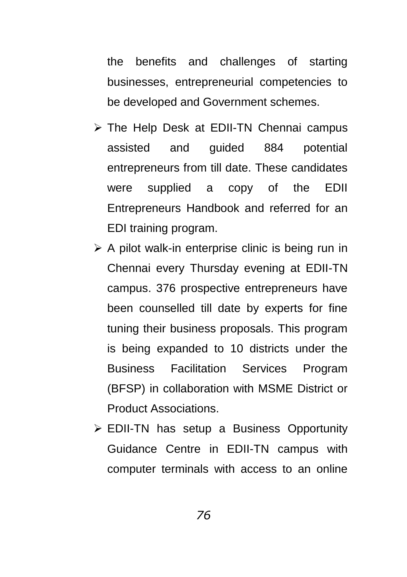the benefits and challenges of starting businesses, entrepreneurial competencies to be developed and Government schemes.

- > The Help Desk at EDII-TN Chennai campus assisted and guided 884 potential entrepreneurs from till date. These candidates were supplied a copy of the EDII Entrepreneurs Handbook and referred for an EDI training program.
- $\triangleright$  A pilot walk-in enterprise clinic is being run in Chennai every Thursday evening at EDII-TN campus. 376 prospective entrepreneurs have been counselled till date by experts for fine tuning their business proposals. This program is being expanded to 10 districts under the Business Facilitation Services Program (BFSP) in collaboration with MSME District or Product Associations.
- EDII-TN has setup a Business Opportunity Guidance Centre in EDII-TN campus with computer terminals with access to an online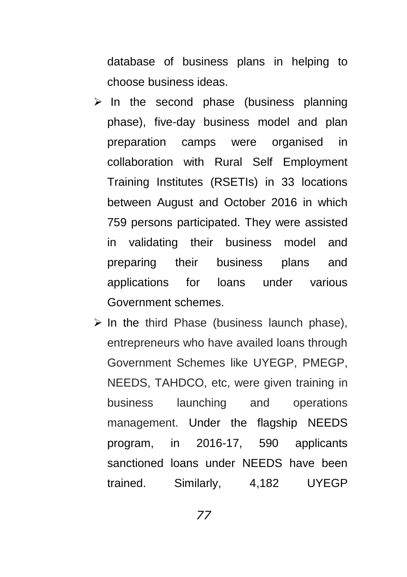database of business plans in helping to choose business ideas.

- $\triangleright$  In the second phase (business planning phase), five-day business model and plan preparation camps were organised in collaboration with Rural Self Employment Training Institutes (RSETIs) in 33 locations between August and October 2016 in which 759 persons participated. They were assisted in validating their business model and preparing their business plans and applications for loans under various Government schemes.
- $\triangleright$  In the third Phase (business launch phase), entrepreneurs who have availed loans through Government Schemes like UYEGP, PMEGP, NEEDS, TAHDCO, etc, were given training in business launching and operations management. Under the flagship NEEDS program, in 2016-17, 590 applicants sanctioned loans under NEEDS have been trained. Similarly, 4,182 UYEGP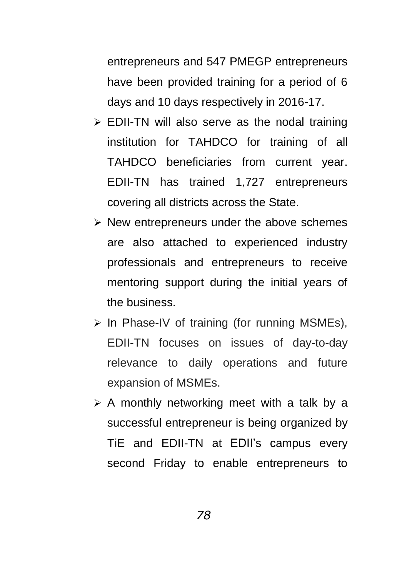entrepreneurs and 547 PMEGP entrepreneurs have been provided training for a period of 6 days and 10 days respectively in 2016-17.

- $\triangleright$  EDII-TN will also serve as the nodal training institution for TAHDCO for training of all TAHDCO beneficiaries from current year. EDII-TN has trained 1,727 entrepreneurs covering all districts across the State.
- $\triangleright$  New entrepreneurs under the above schemes are also attached to experienced industry professionals and entrepreneurs to receive mentoring support during the initial years of the business.
- $\triangleright$  In Phase-IV of training (for running MSMEs), EDII-TN focuses on issues of day-to-day relevance to daily operations and future expansion of MSMEs.
- $\triangleright$  A monthly networking meet with a talk by a successful entrepreneur is being organized by TiE and EDII-TN at EDII"s campus every second Friday to enable entrepreneurs to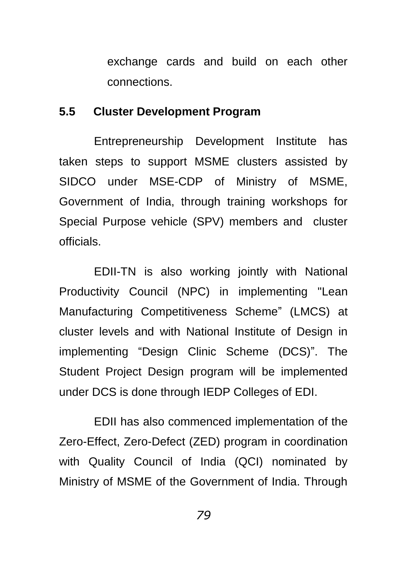exchange cards and build on each other connections.

## **5.5 Cluster Development Program**

Entrepreneurship Development Institute has taken steps to support MSME clusters assisted by SIDCO under MSE-CDP of Ministry of MSME, Government of India, through training workshops for Special Purpose vehicle (SPV) members and cluster officials.

EDII-TN is also working jointly with National Productivity Council (NPC) in implementing "Lean Manufacturing Competitiveness Scheme" (LMCS) at cluster levels and with National Institute of Design in implementing "Design Clinic Scheme (DCS)". The Student Project Design program will be implemented under DCS is done through IEDP Colleges of EDI.

EDII has also commenced implementation of the Zero-Effect, Zero-Defect (ZED) program in coordination with Quality Council of India (QCI) nominated by Ministry of MSME of the Government of India. Through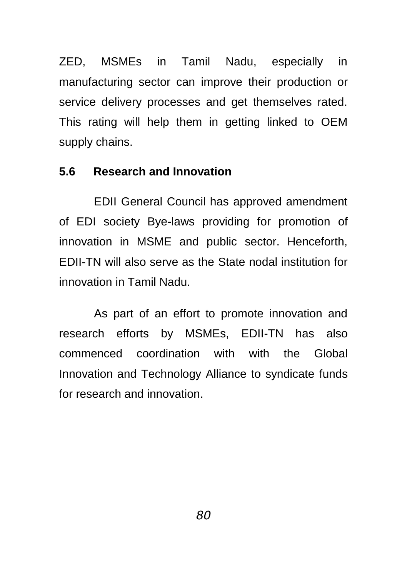ZED, MSMEs in Tamil Nadu, especially in manufacturing sector can improve their production or service delivery processes and get themselves rated. This rating will help them in getting linked to OEM supply chains.

## **5.6 Research and Innovation**

EDII General Council has approved amendment of EDI society Bye-laws providing for promotion of innovation in MSME and public sector. Henceforth, EDII-TN will also serve as the State nodal institution for innovation in Tamil Nadu.

As part of an effort to promote innovation and research efforts by MSMEs, EDII-TN has also commenced coordination with with the Global Innovation and Technology Alliance to syndicate funds for research and innovation.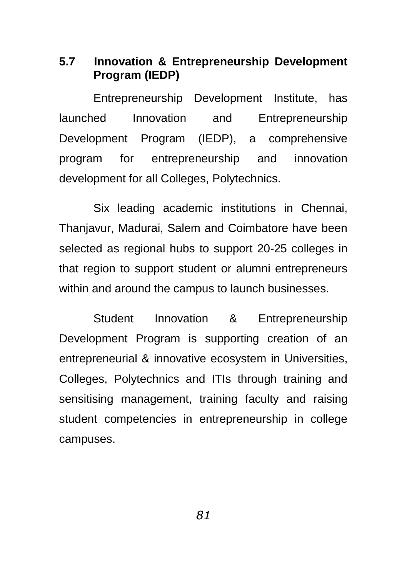**5.7 Innovation & Entrepreneurship Development Program (IEDP)**

Entrepreneurship Development Institute, has launched Innovation and Entrepreneurship Development Program (IEDP), a comprehensive program for entrepreneurship and innovation development for all Colleges, Polytechnics.

Six leading academic institutions in Chennai, Thanjavur, Madurai, Salem and Coimbatore have been selected as regional hubs to support 20-25 colleges in that region to support student or alumni entrepreneurs within and around the campus to launch businesses.

Student Innovation & Entrepreneurship Development Program is supporting creation of an entrepreneurial & innovative ecosystem in Universities, Colleges, Polytechnics and ITIs through training and sensitising management, training faculty and raising student competencies in entrepreneurship in college campuses.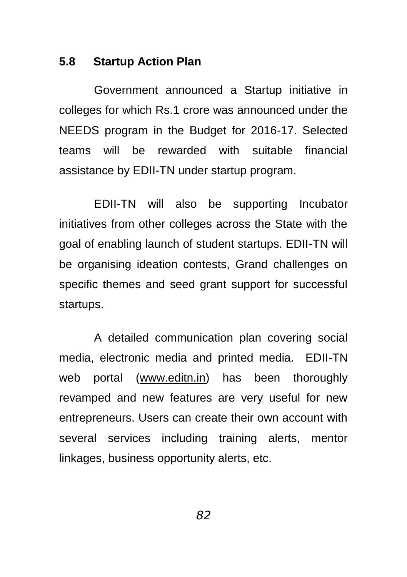## **5.8 Startup Action Plan**

Government announced a Startup initiative in colleges for which Rs.1 crore was announced under the NEEDS program in the Budget for 2016-17. Selected teams will be rewarded with suitable financial assistance by EDII-TN under startup program.

EDII-TN will also be supporting Incubator initiatives from other colleges across the State with the goal of enabling launch of student startups. EDII-TN will be organising ideation contests, Grand challenges on specific themes and seed grant support for successful startups.

A detailed communication plan covering social media, electronic media and printed media. EDII-TN web portal [\(www.editn.in\)](http://www.editn.in/) has been thoroughly revamped and new features are very useful for new entrepreneurs. Users can create their own account with several services including training alerts, mentor linkages, business opportunity alerts, etc.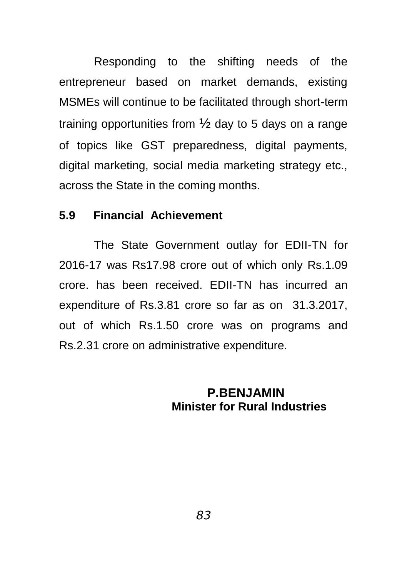Responding to the shifting needs of the entrepreneur based on market demands, existing MSMEs will continue to be facilitated through short-term training opportunities from  $\frac{1}{2}$  day to 5 days on a range of topics like GST preparedness, digital payments, digital marketing, social media marketing strategy etc., across the State in the coming months.

#### **5.9 Financial Achievement**

The State Government outlay for EDII-TN for 2016-17 was Rs17.98 crore out of which only Rs.1.09 crore. has been received. EDII-TN has incurred an expenditure of Rs.3.81 crore so far as on 31.3.2017, out of which Rs.1.50 crore was on programs and Rs.2.31 crore on administrative expenditure.

## **P.BENJAMIN Minister for Rural Industries**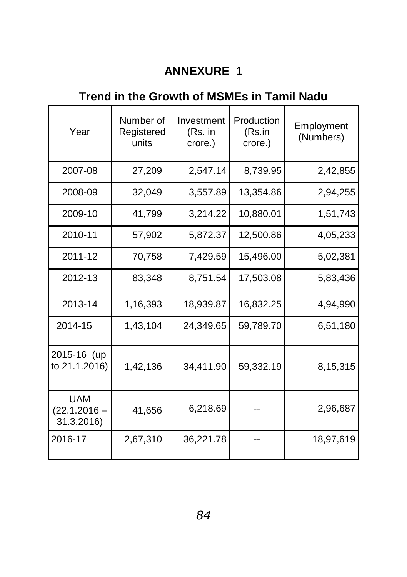# **ANNEXURE 1**

# **Trend in the Growth of MSMEs in Tamil Nadu**

| Year                                       | Number of<br>Registered<br>units | Investment<br>(Rs. in<br>crore.) | Production<br>(Rs.in<br>crore.) | Employment<br>(Numbers) |
|--------------------------------------------|----------------------------------|----------------------------------|---------------------------------|-------------------------|
| 2007-08                                    | 27,209                           | 2,547.14                         | 8,739.95                        | 2,42,855                |
| 2008-09                                    | 32,049                           | 3,557.89                         | 13,354.86                       | 2,94,255                |
| 2009-10                                    | 41,799                           | 3,214.22                         | 10,880.01                       | 1,51,743                |
| 2010-11                                    | 57,902                           | 5,872.37                         | 12,500.86                       | 4,05,233                |
| 2011-12                                    | 70,758                           | 7,429.59                         | 15,496.00                       | 5,02,381                |
| 2012-13                                    | 83,348                           | 8,751.54                         | 17,503.08                       | 5,83,436                |
| 2013-14                                    | 1,16,393                         | 18,939.87                        | 16,832.25                       | 4,94,990                |
| 2014-15                                    | 1,43,104                         | 24,349.65                        | 59,789.70                       | 6,51,180                |
| 2015-16 (up<br>to 21.1.2016)               | 1,42,136                         | 34,411.90                        | 59,332.19                       | 8,15,315                |
| <b>UAM</b><br>$(22.1.2016 -$<br>31.3.2016) | 41,656                           | 6,218.69                         |                                 | 2,96,687                |
| 2016-17                                    | 2,67,310                         | 36,221.78                        |                                 | 18,97,619               |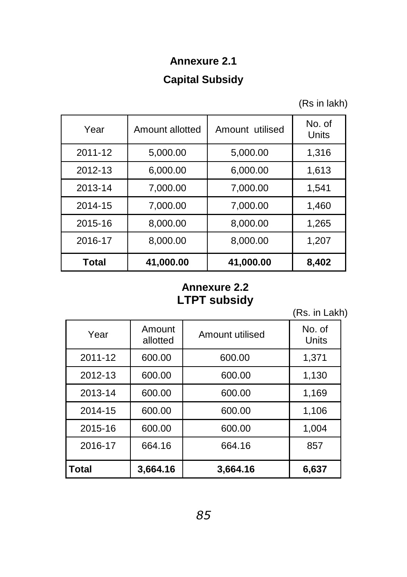# **Annexure 2.1 Capital Subsidy**

(Rs in lakh)

| Year    | Amount allotted | Amount utilised | No. of<br>Units |
|---------|-----------------|-----------------|-----------------|
| 2011-12 | 5,000.00        | 5,000.00        | 1,316           |
| 2012-13 | 6,000.00        | 6,000.00        | 1,613           |
| 2013-14 | 7,000.00        | 7,000.00        | 1,541           |
| 2014-15 | 7,000.00        | 7,000.00        | 1,460           |
| 2015-16 | 8,000.00        | 8,000.00        | 1,265           |
| 2016-17 | 8,000.00        | 8,000.00        | 1,207           |
| Total   | 41,000.00       | 41,000.00       | 8,402           |

## **Annexure 2.2 LTPT subsidy**

(Rs. in Lakh)

| Year         | Amount<br>allotted | Amount utilised | No. of<br>Units |
|--------------|--------------------|-----------------|-----------------|
| 2011-12      | 600.00             | 600.00          | 1,371           |
| 2012-13      | 600.00             | 600.00          | 1,130           |
| 2013-14      | 600.00             | 600.00          | 1,169           |
| 2014-15      | 600.00             | 600.00          | 1,106           |
| 2015-16      | 600.00             | 600.00          | 1,004           |
| 2016-17      | 664.16             | 664.16          | 857             |
| <b>Total</b> | 3,664.16           | 3,664.16        | 6,637           |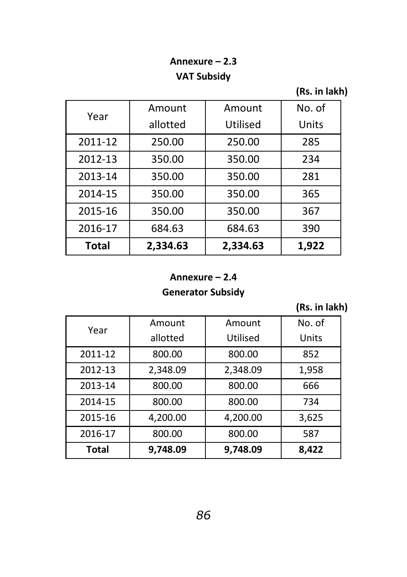# **Annexure – 2.3 VAT Subsidy**

**(Rs. in lakh)**

| <b>Total</b> | 2,334.63 | 2,334.63 | 1,922  |
|--------------|----------|----------|--------|
| 2016-17      | 684.63   | 684.63   | 390    |
| 2015-16      | 350.00   | 350.00   | 367    |
| 2014-15      | 350.00   | 350.00   | 365    |
| 2013-14      | 350.00   | 350.00   | 281    |
| 2012-13      | 350.00   | 350.00   | 234    |
| 2011-12      | 250.00   | 250.00   | 285    |
|              | allotted | Utilised | Units  |
| Year         | Amount   | Amount   | No. of |

#### **Annexure – 2.4**

#### **Generator Subsidy**

**(Rs. in lakh)**

| Year         | Amount   | Amount   | No. of |
|--------------|----------|----------|--------|
|              | allotted | Utilised | Units  |
| 2011-12      | 800.00   | 800.00   | 852    |
| 2012-13      | 2,348.09 | 2,348.09 | 1,958  |
| 2013-14      | 800.00   | 800.00   | 666    |
| 2014-15      | 800.00   | 800.00   | 734    |
| 2015-16      | 4,200.00 | 4,200.00 | 3,625  |
| 2016-17      | 800.00   | 800.00   | 587    |
| <b>Total</b> | 9.748.09 | 9.748.09 | 8,422  |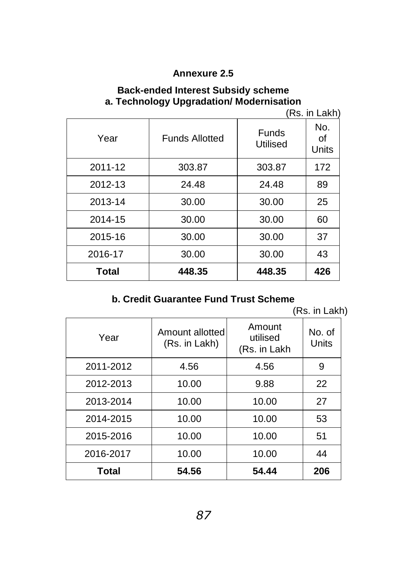## **Annexure 2.5**

#### **Back-ended Interest Subsidy scheme a. Technology Upgradation/ Modernisation**

(Rs. in Lakh)

| Year    | <b>Funds Allotted</b> | Funds<br>Utilised | No.<br>οf<br>Units |
|---------|-----------------------|-------------------|--------------------|
| 2011-12 | 303.87                | 303.87            | 172                |
| 2012-13 | 24.48                 | 24.48             | 89                 |
| 2013-14 | 30.00                 | 30.00             | 25                 |
| 2014-15 | 30.00                 | 30.00             | 60                 |
| 2015-16 | 30.00                 | 30.00             | 37                 |
| 2016-17 | 30.00                 | 30.00             | 43                 |
| Total   | 448.35                | 448.35            | 426                |

## **b. Credit Guarantee Fund Trust Scheme**

(Rs. in Lakh)

| Year      | Amount allotted<br>(Rs. in Lakh) | Amount<br>utilised<br>(Rs. in Lakh | No. of<br>Units |
|-----------|----------------------------------|------------------------------------|-----------------|
| 2011-2012 | 4.56                             | 4.56                               | 9               |
| 2012-2013 | 10.00                            | 9.88                               | 22              |
| 2013-2014 | 10.00                            | 10.00                              | 27              |
| 2014-2015 | 10.00                            | 10.00                              | 53              |
| 2015-2016 | 10.00                            | 10.00                              | 51              |
| 2016-2017 | 10.00                            | 10.00                              | 44              |
| Total     | 54.56                            | 54.44                              | 206             |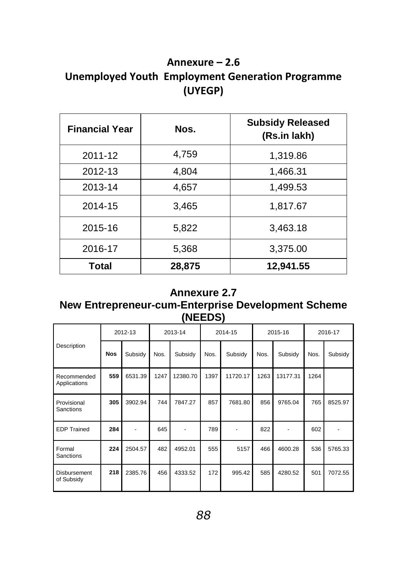# **Annexure – 2.6 Unemployed Youth Employment Generation Programme (UYEGP)**

| <b>Financial Year</b> | Nos.   | <b>Subsidy Released</b><br>(Rs.in lakh) |
|-----------------------|--------|-----------------------------------------|
| 2011-12               | 4,759  | 1,319.86                                |
| 2012-13               | 4,804  | 1,466.31                                |
| 2013-14               | 4,657  | 1,499.53                                |
| 2014-15               | 3,465  | 1,817.67                                |
| 2015-16               | 5,822  | 3,463.18                                |
| 2016-17               | 5,368  | 3,375.00                                |
| Total                 | 28,875 | 12,941.55                               |

#### **Annexure 2.7**

### **New Entrepreneur-cum-Enterprise Development Scheme (NEEDS)**

|                             | 2012-13    |         | 2013-14 |          | 2014-15 |          | 2015-16 |          | 2016-17 |         |
|-----------------------------|------------|---------|---------|----------|---------|----------|---------|----------|---------|---------|
| Description                 | <b>Nos</b> | Subsidy | Nos.    | Subsidy  | Nos.    | Subsidy  | Nos.    | Subsidy  | Nos.    | Subsidy |
| Recommended<br>Applications | 559        | 6531.39 | 1247    | 12380.70 | 1397    | 11720.17 | 1263    | 13177.31 | 1264    |         |
| Provisional<br>Sanctions    | 305        | 3902.94 | 744     | 7847.27  | 857     | 7681.80  | 856     | 9765.04  | 765     | 8525.97 |
| <b>EDP Trained</b>          | 284        |         | 645     |          | 789     |          | 822     |          | 602     |         |
| Formal<br>Sanctions         | 224        | 2504.57 | 482     | 4952.01  | 555     | 5157     | 466     | 4600.28  | 536     | 5765.33 |
| Disbursement<br>of Subsidy  | 218        | 2385.76 | 456     | 4333.52  | 172     | 995.42   | 585     | 4280.52  | 501     | 7072.55 |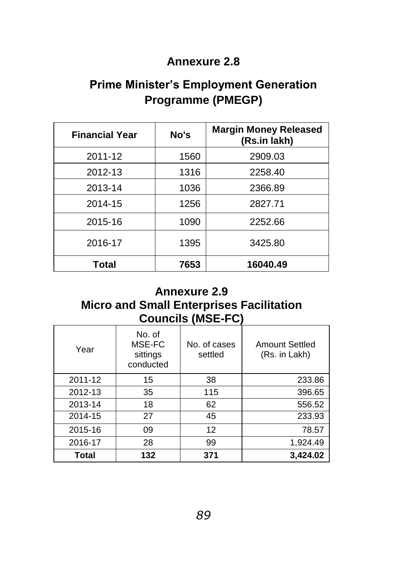## **Annexure 2.8**

# **Prime Minister's Employment Generation Programme (PMEGP)**

| <b>Financial Year</b> | No's | <b>Margin Money Released</b><br>(Rs.in lakh) |
|-----------------------|------|----------------------------------------------|
| 2011-12               | 1560 | 2909.03                                      |
| 2012-13               | 1316 | 2258.40                                      |
| 2013-14               | 1036 | 2366.89                                      |
| 2014-15               | 1256 | 2827.71                                      |
| 2015-16               | 1090 | 2252.66                                      |
| 2016-17               | 1395 | 3425.80                                      |
| Total                 | 7653 | 16040.49                                     |

# **Annexure 2.9**

# **Micro and Small Enterprises Facilitation Councils (MSE-FC)**

| Year    | No. of<br>MSE-FC<br>sittings<br>conducted | No. of cases<br>settled | Amount Settled<br>(Rs. in Lakh) |
|---------|-------------------------------------------|-------------------------|---------------------------------|
| 2011-12 | 15                                        | 38                      | 233.86                          |
| 2012-13 | 35                                        | 115                     | 396.65                          |
| 2013-14 | 18                                        | 62                      | 556.52                          |
| 2014-15 | 27                                        | 45                      | 233.93                          |
| 2015-16 | 09                                        | 12                      | 78.57                           |
| 2016-17 | 28                                        | 99                      | 1,924.49                        |
| Total   | 132                                       | 371                     | 3,424.02                        |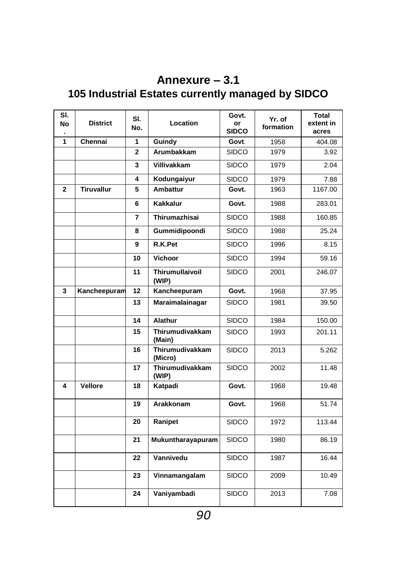# **Annexure – 3.1 105 Industrial Estates currently managed by SIDCO**

| SI.<br>No    | <b>District</b>   | SI.<br>No.     | Location                   | Govt.<br>or<br><b>SIDCO</b> | Yr. of<br>formation | <b>Total</b><br>extent in<br>acres |
|--------------|-------------------|----------------|----------------------------|-----------------------------|---------------------|------------------------------------|
| 1            | Chennai           | 1              | Guindy                     | Govt.                       | 1958                | 404.08                             |
|              |                   | $\overline{2}$ | Arumbakkam                 | SIDCO                       | 1979                | 3.92                               |
|              |                   | 3              | <b>Villivakkam</b>         | <b>SIDCO</b>                | 1979                | 2.04                               |
|              |                   | 4              | Kodungaiyur                | <b>SIDCO</b>                | 1979                | 7.88                               |
| $\mathbf{2}$ | <b>Tiruvallur</b> | 5              | <b>Ambattur</b>            | Govt.                       | 1963                | 1167.00                            |
|              |                   | 6              | <b>Kakkalur</b>            | Govt.                       | 1988                | 283.01                             |
|              |                   | 7              | Thirumazhisai              | SIDCO                       | 1988                | 160.85                             |
|              |                   | 8              | Gummidipoondi              | <b>SIDCO</b>                | 1988                | 25.24                              |
|              |                   | 9              | R.K.Pet                    | SIDCO                       | 1996                | 8.15                               |
|              |                   | 10             | Vichoor                    | <b>SIDCO</b>                | 1994                | 59.16                              |
|              |                   | 11             | Thirumullaivoil<br>(WIP)   | SIDCO                       | 2001                | 246.07                             |
| 3            | Kancheepuram      | 12             | Kancheepuram               | Govt.                       | 1968                | 37.95                              |
|              |                   | 13             | Maraimalainagar            | <b>SIDCO</b>                | 1981                | 39.50                              |
|              |                   | 14             | Alathur                    | <b>SIDCO</b>                | 1984                | 150.00                             |
|              |                   | 15             | Thirumudivakkam<br>(Main)  | SIDCO                       | 1993                | 201.11                             |
|              |                   | 16             | Thirumudivakkam<br>(Micro) | <b>SIDCO</b>                | 2013                | 5.262                              |
|              |                   | 17             | Thirumudivakkam<br>(WIP)   | <b>SIDCO</b>                | 2002                | 11.48                              |
| 4            | Vellore           | 18             | Katpadi                    | Govt.                       | 1968                | 19.48                              |
|              |                   | 19             | Arakkonam                  | Govt.                       | 1968                | 51.74                              |
|              |                   | 20             | Ranipet                    | <b>SIDCO</b>                | 1972                | 113.44                             |
|              |                   | 21             | Mukuntharayapuram          | <b>SIDCO</b>                | 1980                | 86.19                              |
|              |                   | 22             | Vannivedu                  | <b>SIDCO</b>                | 1987                | 16.44                              |
|              |                   | 23             | Vinnamangalam              | <b>SIDCO</b>                | 2009                | 10.49                              |
|              |                   | 24             | Vaniyambadi                | SIDCO                       | 2013                | 7.08                               |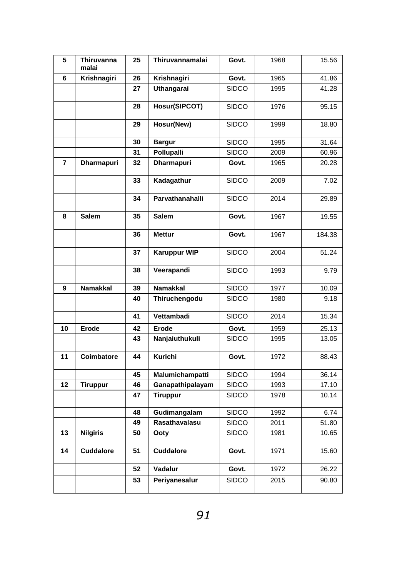| 5              | Thiruvanna<br>malai | 25 | Thiruvannamalai     | Govt.        | 1968 | 15.56  |
|----------------|---------------------|----|---------------------|--------------|------|--------|
| 6              | Krishnagiri         | 26 | Krishnagiri         | Govt.        | 1965 | 41.86  |
|                |                     | 27 | Uthangarai          | SIDCO        | 1995 | 41.28  |
|                |                     | 28 | Hosur(SIPCOT)       | SIDCO        | 1976 | 95.15  |
|                |                     | 29 | Hosur(New)          | SIDCO        | 1999 | 18.80  |
|                |                     | 30 | <b>Bargur</b>       | SIDCO        | 1995 | 31.64  |
|                |                     | 31 | Pollupalli          | <b>SIDCO</b> | 2009 | 60.96  |
| $\overline{7}$ | Dharmapuri          | 32 | Dharmapuri          | Govt.        | 1965 | 20.28  |
|                |                     | 33 | Kadagathur          | SIDCO        | 2009 | 7.02   |
|                |                     | 34 | Parvathanahalli     | <b>SIDCO</b> | 2014 | 29.89  |
| 8              | Salem               | 35 | <b>Salem</b>        | Govt.        | 1967 | 19.55  |
|                |                     | 36 | <b>Mettur</b>       | Govt.        | 1967 | 184.38 |
|                |                     | 37 | <b>Karuppur WIP</b> | SIDCO        | 2004 | 51.24  |
|                |                     | 38 | Veerapandi          | SIDCO        | 1993 | 9.79   |
| 9              | Namakkal            | 39 | <b>Namakkal</b>     | <b>SIDCO</b> | 1977 | 10.09  |
|                |                     | 40 | Thiruchengodu       | SIDCO        | 1980 | 9.18   |
|                |                     | 41 | Vettambadi          | SIDCO        | 2014 | 15.34  |
| 10             | Erode               | 42 | Erode               | Govt.        | 1959 | 25.13  |
|                |                     | 43 | Nanjaiuthukuli      | <b>SIDCO</b> | 1995 | 13.05  |
| 11             | Coimbatore          | 44 | Kurichi             | Govt.        | 1972 | 88.43  |
|                |                     | 45 | Malumichampatti     | SIDCO        | 1994 | 36.14  |
| 12             | <b>Tiruppur</b>     | 46 | Ganapathipalayam    | SIDCO        | 1993 | 17.10  |
|                |                     | 47 | <b>Tiruppur</b>     | SIDCO        | 1978 | 10.14  |
|                |                     | 48 | Gudimangalam        | SIDCO        | 1992 | 6.74   |
|                |                     | 49 | Rasathavalasu       | <b>SIDCO</b> | 2011 | 51.80  |
| 13             | <b>Nilgiris</b>     | 50 | Ooty                | <b>SIDCO</b> | 1981 | 10.65  |
| 14             | <b>Cuddalore</b>    | 51 | Cuddalore           | Govt.        | 1971 | 15.60  |
|                |                     | 52 | Vadalur             | Govt.        | 1972 | 26.22  |
|                |                     | 53 | Periyanesalur       | SIDCO        | 2015 | 90.80  |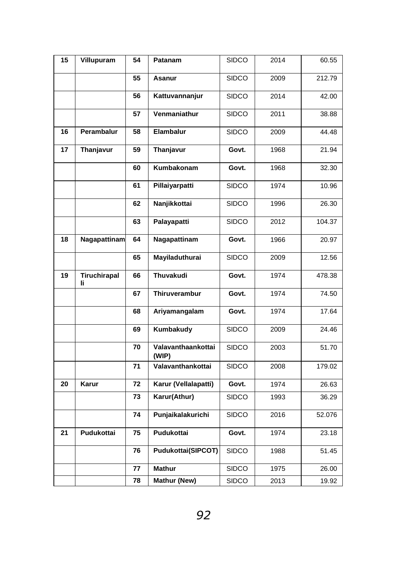| 15 | Villupuram          | 54 | Patanam                     | SIDCO        | 2014 | 60.55  |
|----|---------------------|----|-----------------------------|--------------|------|--------|
|    |                     | 55 | Asanur                      | SIDCO        | 2009 | 212.79 |
|    |                     | 56 | Kattuvannanjur              | SIDCO        | 2014 | 42.00  |
|    |                     | 57 | Venmaniathur                | SIDCO        | 2011 | 38.88  |
| 16 | Perambalur          | 58 | Elambalur                   | SIDCO        | 2009 | 44.48  |
| 17 | Thanjavur           | 59 | Thanjavur                   | Govt.        | 1968 | 21.94  |
|    |                     | 60 | Kumbakonam                  | Govt.        | 1968 | 32.30  |
|    |                     | 61 | Pillaiyarpatti              | SIDCO        | 1974 | 10.96  |
|    |                     | 62 | Nanjikkottai                | SIDCO        | 1996 | 26.30  |
|    |                     | 63 | Palayapatti                 | SIDCO        | 2012 | 104.37 |
| 18 | <b>Nagapattinam</b> | 64 | Nagapattinam                | Govt.        | 1966 | 20.97  |
|    |                     | 65 | Mayiladuthurai              | SIDCO        | 2009 | 12.56  |
| 19 | Tiruchirapal<br>Ιi  | 66 | <b>Thuvakudi</b>            | Govt.        | 1974 | 478.38 |
|    |                     | 67 | Thiruverambur               | Govt.        | 1974 | 74.50  |
|    |                     | 68 | Ariyamangalam               | Govt.        | 1974 | 17.64  |
|    |                     | 69 | Kumbakudy                   | SIDCO        | 2009 | 24.46  |
|    |                     | 70 | Valavanthaankottai<br>(WIP) | <b>SIDCO</b> | 2003 | 51.70  |
|    |                     | 71 | Valavanthankottai           | SIDCO        | 2008 | 179.02 |
| 20 | Karur               | 72 | Karur (Vellalapatti)        | Govt.        | 1974 | 26.63  |
|    |                     | 73 | Karur(Athur)                | SIDCO        | 1993 | 36.29  |
|    |                     | 74 | Punjaikalakurichi           | <b>SIDCO</b> | 2016 | 52.076 |
| 21 | Pudukottai          | 75 | Pudukottai                  | Govt.        | 1974 | 23.18  |
|    |                     | 76 | Pudukottai(SIPCOT)          | <b>SIDCO</b> | 1988 | 51.45  |
|    |                     | 77 | <b>Mathur</b>               | SIDCO        | 1975 | 26.00  |
|    |                     | 78 | Mathur (New)                | <b>SIDCO</b> | 2013 | 19.92  |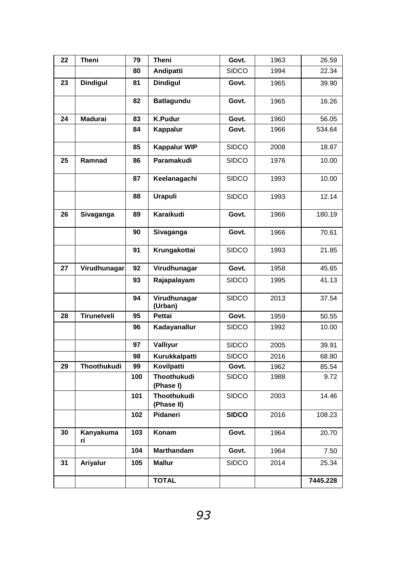| 22 | Theni              | 79  | Theni                           | Govt.        | 1963 | 26.59    |
|----|--------------------|-----|---------------------------------|--------------|------|----------|
|    |                    | 80  | Andipatti                       | SIDCO        | 1994 | 22.34    |
| 23 | Dindigul           | 81  | <b>Dindigul</b>                 | Govt.        | 1965 | 39.90    |
|    |                    | 82  | Batlagundu                      | Govt.        | 1965 | 16.26    |
| 24 | Madurai            | 83  | <b>K.Pudur</b>                  | Govt.        | 1960 | 56.05    |
|    |                    | 84  | Kappalur                        | Govt.        | 1966 | 534.64   |
|    |                    | 85  | <b>Kappalur WIP</b>             | <b>SIDCO</b> | 2008 | 18.87    |
| 25 | Ramnad             | 86  | Paramakudi                      | <b>SIDCO</b> | 1976 | 10.00    |
|    |                    | 87  | Keelanagachi                    | <b>SIDCO</b> | 1993 | 10.00    |
|    |                    | 88  | <b>Urapuli</b>                  | <b>SIDCO</b> | 1993 | 12.14    |
| 26 | Sivaganga          | 89  | Karaikudi                       | Govt.        | 1966 | 180.19   |
|    |                    | 90  | Sivaganga                       | Govt.        | 1966 | 70.61    |
|    |                    | 91  | Krungakottai                    | <b>SIDCO</b> | 1993 | 21.85    |
| 27 | Virudhunagar       | 92  | Virudhunagar                    | Govt.        | 1958 | 45.65    |
|    |                    | 93  | Rajapalayam                     | SIDCO        | 1995 | 41.13    |
|    |                    | 94  | Virudhunagar<br>(Urban)         | <b>SIDCO</b> | 2013 | 37.54    |
| 28 | Tirunelveli        | 95  | Pettai                          | Govt.        | 1959 | 50.55    |
|    |                    | 96  | Kadayanallur                    | <b>SIDCO</b> | 1992 | 10.00    |
|    |                    | 97  | Valliyur                        | SIDCO        | 2005 | 39.91    |
|    |                    | 98  | Kurukkalpatti                   | <b>SIDCO</b> | 2016 | 68.80    |
| 29 | <b>Thoothukudi</b> | 99  | Kovilpatti                      | Govt.        | 1962 | 85.54    |
|    |                    | 100 | <b>Thoothukudi</b><br>(Phase I) | <b>SIDCO</b> | 1988 | 9.72     |
|    |                    | 101 | Thoothukudi<br>(Phase II)       | <b>SIDCO</b> | 2003 | 14.46    |
|    |                    | 102 | Pidaneri                        | <b>SIDCO</b> | 2016 | 108.23   |
| 30 | Kanyakuma<br>ri.   | 103 | Konam                           | Govt.        | 1964 | 20.70    |
|    |                    | 104 | <b>Marthandam</b>               | Govt.        | 1964 | 7.50     |
| 31 | Ariyalur           | 105 | <b>Mallur</b>                   | <b>SIDCO</b> | 2014 | 25.34    |
|    |                    |     | <b>TOTAL</b>                    |              |      | 7445.228 |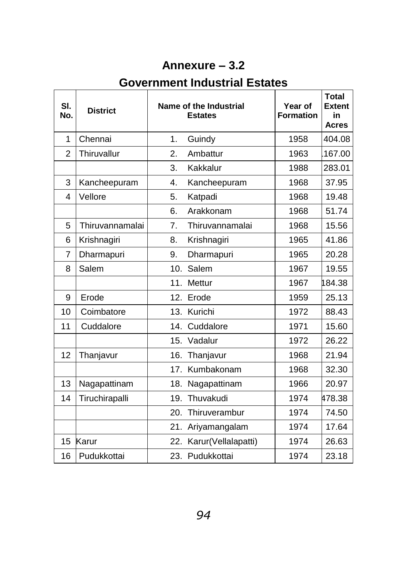# **Annexure – 3.2**

# **Government Industrial Estates**

| SI.<br>No.     | <b>District</b> |     | Name of the Industrial<br><b>Estates</b> | Year of<br><b>Formation</b> | <b>Total</b><br><b>Extent</b><br>in<br><b>Acres</b> |
|----------------|-----------------|-----|------------------------------------------|-----------------------------|-----------------------------------------------------|
| 1              | Chennai         | 1.  | Guindy                                   | 1958                        | 404.08                                              |
| $\overline{2}$ | Thiruvallur     | 2.  | Ambattur                                 | 1963                        | 167.00                                              |
|                |                 | 3.  | Kakkalur                                 | 1988                        | 283.01                                              |
| 3              | Kancheepuram    | 4.  | Kancheepuram                             | 1968                        | 37.95                                               |
| 4              | Vellore         | 5.  | Katpadi                                  | 1968                        | 19.48                                               |
|                |                 | 6.  | Arakkonam                                | 1968                        | 51.74                                               |
| 5              | Thiruvannamalai | 7.  | Thiruvannamalai                          | 1968                        | 15.56                                               |
| 6              | Krishnagiri     | 8.  | Krishnagiri                              | 1965                        | 41.86                                               |
| $\overline{7}$ | Dharmapuri      | 9.  | Dharmapuri                               | 1965                        | 20.28                                               |
| 8              | Salem           | 10. | Salem                                    | 1967                        | 19.55                                               |
|                |                 | 11. | Mettur                                   | 1967                        | 184.38                                              |
| 9              | Erode           | 12. | Erode                                    | 1959                        | 25.13                                               |
| 10             | Coimbatore      | 13. | Kurichi                                  | 1972                        | 88.43                                               |
| 11             | Cuddalore       | 14. | Cuddalore                                | 1971                        | 15.60                                               |
|                |                 | 15. | Vadalur                                  | 1972                        | 26.22                                               |
| 12             | Thanjavur       | 16. | Thanjavur                                | 1968                        | 21.94                                               |
|                |                 | 17. | Kumbakonam                               | 1968                        | 32.30                                               |
| 13             | Nagapattinam    |     | 18. Nagapattinam                         | 1966                        | 20.97                                               |
| 14             | Tiruchirapalli  | 19. | Thuvakudi                                | 1974                        | 478.38                                              |
|                |                 | 20. | Thiruverambur                            | 1974                        | 74.50                                               |
|                |                 | 21. | Ariyamangalam                            | 1974                        | 17.64                                               |
| 15             | Karur           | 22. | Karur(Vellalapatti)                      | 1974                        | 26.63                                               |
| 16             | Pudukkottai     |     | 23. Pudukkottai                          | 1974                        | 23.18                                               |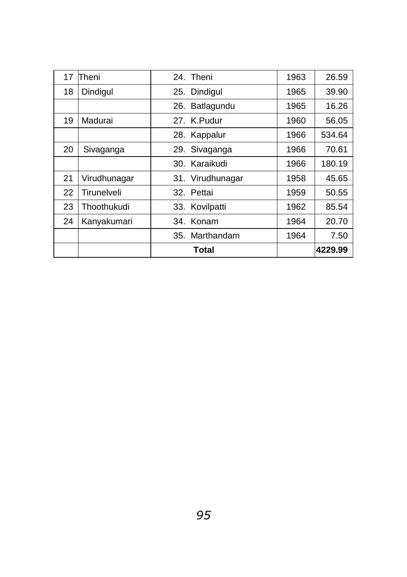| 17 | Theni        | 24. Theni         | 1963 | 26.59   |
|----|--------------|-------------------|------|---------|
| 18 | Dindigul     | 25. Dindigul      | 1965 | 39.90   |
|    |              | Batlagundu<br>26. | 1965 | 16.26   |
| 19 | Madurai      | 27. K.Pudur       | 1960 | 56.05   |
|    |              | 28. Kappalur      | 1966 | 534.64  |
| 20 | Sivaganga    | 29. Sivaganga     | 1966 | 70.61   |
|    |              | 30. Karaikudi     | 1966 | 180.19  |
| 21 | Virudhunagar | 31. Virudhunagar  | 1958 | 45.65   |
| 22 | Tirunelveli  | 32. Pettai        | 1959 | 50.55   |
| 23 | Thoothukudi  | 33. Kovilpatti    | 1962 | 85.54   |
| 24 | Kanyakumari  | 34. Konam         | 1964 | 20.70   |
|    |              | 35. Marthandam    | 1964 | 7.50    |
|    |              | Total             |      | 4229.99 |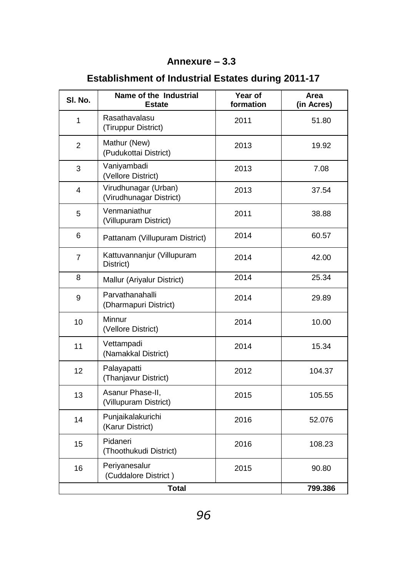### **Annexure – 3.3**

| SI. No.        | Name of the Industrial<br><b>Estate</b>         | Year of<br>formation | Area<br>(in Acres) |
|----------------|-------------------------------------------------|----------------------|--------------------|
| 1              | Rasathavalasu<br>(Tiruppur District)            | 2011                 | 51.80              |
| $\overline{2}$ | Mathur (New)<br>(Pudukottai District)           | 2013                 | 19.92              |
| 3              | Vaniyambadi<br>(Vellore District)               | 2013                 | 7.08               |
| 4              | Virudhunagar (Urban)<br>(Virudhunagar District) | 2013                 | 37.54              |
| 5              | Venmaniathur<br>(Villupuram District)           | 2011                 | 38.88              |
| 6              | Pattanam (Villupuram District)                  | 2014                 | 60.57              |
| 7              | Kattuvannanjur (Villupuram<br>District)         | 2014                 | 42.00              |
| 8              | Mallur (Ariyalur District)                      | 2014                 | 25.34              |
| 9              | Parvathanahalli<br>(Dharmapuri District)        | 2014                 | 29.89              |
| 10             | Minnur<br>(Vellore District)                    | 2014                 | 10.00              |
| 11             | Vettampadi<br>(Namakkal District)               | 2014                 | 15.34              |
| 12             | Palayapatti<br>(Thanjavur District)             | 2012                 | 104.37             |
| 13             | Asanur Phase-II,<br>(Villupuram District)       | 2015                 | 105.55             |
| 14             | Punjaikalakurichi<br>(Karur District)           | 2016                 | 52.076             |
| 15             | Pidaneri<br>(Thoothukudi District)              | 2016                 | 108.23             |
| 16             | Periyanesalur<br>(Cuddalore District)           | 2015                 | 90.80              |
|                | <b>Total</b>                                    |                      | 799.386            |

# **Establishment of Industrial Estates during 2011-17**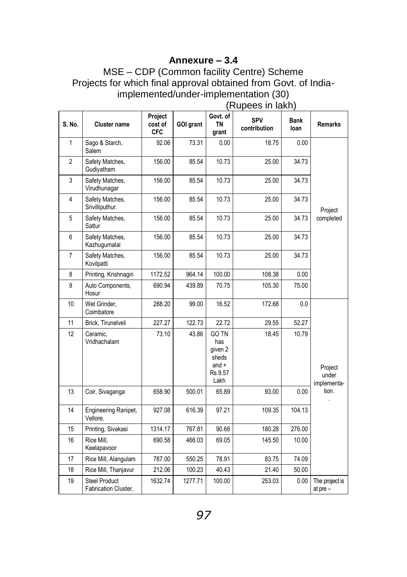#### **Annexure – 3.4**

MSE – CDP (Common facility Centre) Scheme Projects for which final approval obtained from Govt. of Indiaimplemented/under-implementation (30)

|                |                                              | Project               |           | Govt. of                                                              | SPV          | Bank   |                                 |
|----------------|----------------------------------------------|-----------------------|-----------|-----------------------------------------------------------------------|--------------|--------|---------------------------------|
| S. No.         | <b>Cluster name</b>                          | cost of<br><b>CFC</b> | GOI grant | TN<br>grant                                                           | contribution | loan   | <b>Remarks</b>                  |
| 1              | Sago & Starch,<br>Salem                      | 92.06                 | 73.31     | 0.00                                                                  | 18.75        | 0.00   |                                 |
| $\overline{2}$ | Safety Matches,<br>Gudiyatham                | 156.00                | 85.54     | 10.73                                                                 | 25.00        | 34.73  |                                 |
| 3              | Safety Matches,<br>Virudhunagar              | 156.00                | 85.54     | 10.73                                                                 | 25.00        | 34.73  |                                 |
| $\overline{4}$ | Safety Matches,<br>Srivilliputhur.           | 156.00                | 85.54     | 10.73                                                                 | 25.00        | 34.73  | Project                         |
| 5              | Safety Matches,<br>Sattur                    | 156.00                | 85.54     | 10.73                                                                 | 25.00        | 34.73  | completed                       |
| 6              | Safety Matches,<br>Kazhugumalai              | 156.00                | 85.54     | 10.73                                                                 | 25.00        | 34.73  |                                 |
| $\overline{7}$ | Safety Matches,<br>Kovilpatti                | 156.00                | 85.54     | 10.73                                                                 | 25.00        | 34.73  |                                 |
| 8              | Printing, Krishnagiri                        | 1172.52               | 964.14    | 100.00                                                                | 108.38       | 0.00   |                                 |
| 9              | Auto Components,<br>Hosur                    | 690.94                | 439.89    | 70.75                                                                 | 105.30       | 75.00  |                                 |
| 10             | Wet Grinder,<br>Coimbatore                   | 288.20                | 99.00     | 16.52                                                                 | 172.68       | 0.0    |                                 |
| 11             | Brick, Tirunelveli                           | 227.27                | 122.73    | 22.72                                                                 | 29.55        | 52.27  |                                 |
| 12             | Ceramic,<br>Vridhachalam                     | 73.10                 | 43.86     | <b>GO TN</b><br>has<br>given 2<br>sheds<br>and $+$<br>Rs.9.57<br>Lakh | 18.45        | 10.79  | Project<br>under<br>implementa- |
| 13             | Coir, Sivaganga                              | 658.90                | 500.01    | 65.89                                                                 | 93.00        | 0.00   | tion.                           |
| 14             | Engineering Ranipet,<br>Vellore.             | 927.08                | 616.39    | 97.21                                                                 | 109.35       | 104.13 |                                 |
| 15             | Printing, Sivakasi                           | 1314.17               | 767.81    | 90.66                                                                 | 180.28       | 276.00 |                                 |
| 16             | Rice Mill.<br>Keelapavoor                    | 690.58                | 466.03    | 69.05                                                                 | 145.50       | 10.00  |                                 |
| 17             | Rice Mill, Alangulam                         | 787.00                | 550.25    | 78.91                                                                 | 83.75        | 74.09  |                                 |
| 18             | Rice Mill, Thanjavur                         | 212.06                | 100.23    | 40.43                                                                 | 21.40        | 50.00  |                                 |
| 19             | <b>Steel Product</b><br>Fabrication Cluster, | 1632.74               | 1277.71   | 100.00                                                                | 253.03       | 0.00   | The project is<br>at $pre-$     |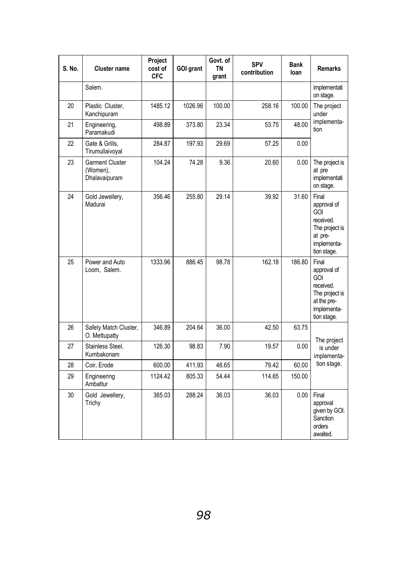| S. No. | Cluster name                                 | Project<br>cost of<br><b>CFC</b> | GOI grant | Govt. of<br><b>TN</b><br>grant | SPV<br>contribution | Bank<br>loan | Remarks                                                                                                        |
|--------|----------------------------------------------|----------------------------------|-----------|--------------------------------|---------------------|--------------|----------------------------------------------------------------------------------------------------------------|
|        | Salem.                                       |                                  |           |                                |                     |              | implementati<br>on stage.                                                                                      |
| 20     | Plastic Cluster,<br>Kanchipuram              | 1485.12                          | 1026.96   | 100.00                         | 258.16              | 100.00       | The project<br>under                                                                                           |
| 21     | Engineering,<br>Paramakudi                   | 498.89                           | 373.80    | 23.34                          | 53.75               | 48.00        | implementa-<br>tion                                                                                            |
| 22     | Gate & Grills.<br>Tirumullaivoyal            | 284.87                           | 197.93    | 29.69                          | 57.25               | 0.00         |                                                                                                                |
| 23     | Garment Cluster<br>(Women),<br>Dhalavaipuram | 104.24                           | 74.28     | 9.36                           | 20.60               | $0.00\,$     | The project is<br>at pre<br>implementati<br>on stage.                                                          |
| 24     | Gold Jewellery,<br>Madurai                   | 356.46                           | 255.80    | 29.14                          | 39.92               | 31.60        | Final<br>approval of<br><b>GOI</b><br>received.<br>The project is<br>at pre-<br>implementa-<br>tion stage.     |
| 25     | Power and Auto<br>Loom, Salem.               | 1333.96                          | 886.45    | 98.78                          | 162.18              | 186.80       | Final<br>approval of<br><b>GOI</b><br>received.<br>The project is<br>at the pre-<br>implementa-<br>tion stage. |
| 26     | Safety Match Cluster,<br>O. Mettupatty       | 346.89                           | 204.64    | 36.00                          | 42.50               | 63.75        | The project                                                                                                    |
| 27     | Stainless Steel.<br>Kumbakonam               | 126.30                           | 98.83     | 7.90                           | 19.57               | 0.00         | is under<br>implementa-                                                                                        |
| 28     | Coir, Erode                                  | 600.00                           | 411.93    | 48.65                          | 79.42               | 60.00        | tion stage.                                                                                                    |
| 29     | Engineering<br>Ambattur                      | 1124.42                          | 805.33    | 54.44                          | 114.65              | 150.00       |                                                                                                                |
| 30     | Gold Jewellery,<br>Trichy                    | 365.03                           | 288.24    | 36.03                          | 36.03               | 0.00         | Final<br>approval<br>given by GOI.<br>Sanction<br>orders<br>awaited.                                           |